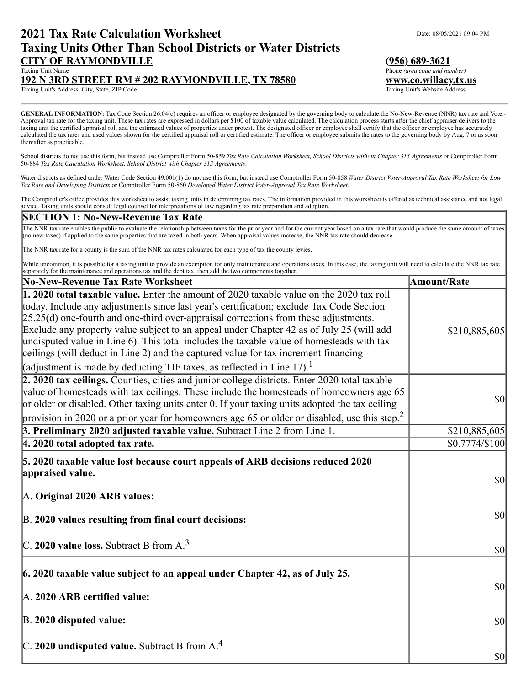## **2021 Tax Rate Calculation Worksheet** Data Date: 08/05/2021 09:04 PM **Taxing Units Other Than School Districts or Water Districts CITY OF RAYMONDVILLE (956) 689-3621**

# **192 N 3RD STREET RM # 202 RAYMONDVILLE, TX 78580 www.co.willacy.tx.us**

Taxing Unit's Address, City, State, ZIP Code

**GENERAL INFORMATION:** Tax Code Section 26.04(c) requires an officer or employee designated by the governing body to calculate the No-New-Revenue (NNR) tax rate and Voter-Approval tax rate for the taxing unit. These tax rates are expressed in dollars per \$100 of taxable value calculated. The calculation process starts after the chief appraiser delivers to the taxing unit the certified appraisal roll and the estimated values of properties under protest. The designated officer or employee shall certify that the officer or employee has accurately calculated the tax rates and used values shown for the certified appraisal roll or certified estimate. The officer or employee submits the rates to the governing body by Aug. 7 or as soon thereafter as practicable.

School districts do not use this form, but instead use Comptroller Form 50-859 *Tax Rate Calculation Worksheet, School Districts without Chapter 313 Agreements* or Comptroller Form 50-884 *Tax Rate Calculation Worksheet, School District with Chapter 313 Agreements*.

Water districts as defined under Water Code Section 49.001(1) do not use this form, but instead use Comptroller Form 50-858 *Water District Voter-Approval Tax Rate Worksheet for Low Tax Rate and Developing Districts* or Comptroller Form 50-860 *Developed Water District Voter-Approval Tax Rate Worksheet*.

The Comptroller's office provides this worksheet to assist taxing units in determining tax rates. The information provided in this worksheet is offered as technical assistance and not legal advice. Taxing units should consult legal counsel for interpretations of law regarding tax rate preparation and adoption.

#### **SECTION 1: No-New-Revenue Tax Rate**

The NNR tax rate enables the public to evaluate the relationship between taxes for the prior year and for the current year based on a tax rate that would produce the same amount of taxes (no new taxes) if applied to the same properties that are taxed in both years. When appraisal values increase, the NNR tax rate should decrease.

The NNR tax rate for a county is the sum of the NNR tax rates calculated for each type of tax the county levies.

While uncommon, it is possible for a taxing unit to provide an exemption for only maintenance and operations taxes. In this case, the taxing unit will need to calculate the NNR tax rate separately for the maintenance and operations tax and the debt tax, then add the two components together.

| No-New-Revenue Tax Rate Worksheet                                                                                                                                                                                                                                                                                                                                                                                                                                                                                                                                                                                                               | Amount/Rate                         |
|-------------------------------------------------------------------------------------------------------------------------------------------------------------------------------------------------------------------------------------------------------------------------------------------------------------------------------------------------------------------------------------------------------------------------------------------------------------------------------------------------------------------------------------------------------------------------------------------------------------------------------------------------|-------------------------------------|
| <b>1. 2020 total taxable value.</b> Enter the amount of 2020 taxable value on the 2020 tax roll<br>today. Include any adjustments since last year's certification; exclude Tax Code Section<br>$[25.25(d)$ one-fourth and one-third over-appraisal corrections from these adjustments.<br>Exclude any property value subject to an appeal under Chapter 42 as of July 25 (will add<br>undisputed value in Line 6). This total includes the taxable value of homesteads with tax<br>ceilings (will deduct in Line 2) and the captured value for tax increment financing<br>(adjustment is made by deducting TIF taxes, as reflected in Line 17). | \$210,885,605                       |
| 2. 2020 tax ceilings. Counties, cities and junior college districts. Enter 2020 total taxable<br>value of homesteads with tax ceilings. These include the homesteads of homeowners age 65<br>or older or disabled. Other taxing units enter 0. If your taxing units adopted the tax ceiling<br>provision in 2020 or a prior year for homeowners age 65 or older or disabled, use this step. <sup>2</sup>                                                                                                                                                                                                                                        | $\vert \mathbf{S} \mathbf{0} \vert$ |
| 3. Preliminary 2020 adjusted taxable value. Subtract Line 2 from Line 1.                                                                                                                                                                                                                                                                                                                                                                                                                                                                                                                                                                        | \$210,885,605                       |
| $ 4.2020$ total adopted tax rate.                                                                                                                                                                                                                                                                                                                                                                                                                                                                                                                                                                                                               | \$0.7774/\$100                      |
| 5. 2020 taxable value lost because court appeals of ARB decisions reduced 2020<br>appraised value.<br>A. Original 2020 ARB values:                                                                                                                                                                                                                                                                                                                                                                                                                                                                                                              | $\vert \mathbf{S} \mathbf{0} \vert$ |
| B. 2020 values resulting from final court decisions:                                                                                                                                                                                                                                                                                                                                                                                                                                                                                                                                                                                            | $\vert \mathbf{S} \mathbf{0} \vert$ |
| C. 2020 value loss. Subtract B from $A3$                                                                                                                                                                                                                                                                                                                                                                                                                                                                                                                                                                                                        | $ 10\rangle$                        |
| $\ $ 6. 2020 taxable value subject to an appeal under Chapter 42, as of July 25.<br>A. 2020 ARB certified value:                                                                                                                                                                                                                                                                                                                                                                                                                                                                                                                                | $\frac{1}{2}$                       |
| $\mathbb{B}$ . 2020 disputed value:                                                                                                                                                                                                                                                                                                                                                                                                                                                                                                                                                                                                             | $\sqrt{50}$                         |
| $\vert$ C. 2020 undisputed value. Subtract B from A. <sup>4</sup>                                                                                                                                                                                                                                                                                                                                                                                                                                                                                                                                                                               | $ 10\rangle$                        |

Phone *(area code and number)*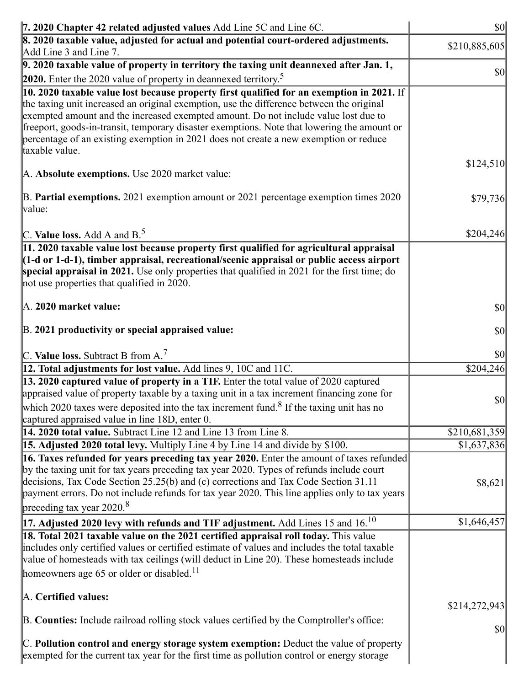| 7. 2020 Chapter 42 related adjusted values Add Line 5C and Line 6C.                                                                                                                                                                                                                                                                                                                                                                                                                    | \$0           |
|----------------------------------------------------------------------------------------------------------------------------------------------------------------------------------------------------------------------------------------------------------------------------------------------------------------------------------------------------------------------------------------------------------------------------------------------------------------------------------------|---------------|
| 8. 2020 taxable value, adjusted for actual and potential court-ordered adjustments.<br>Add Line 3 and Line 7.                                                                                                                                                                                                                                                                                                                                                                          | \$210,885,605 |
| $\vert$ 9. 2020 taxable value of property in territory the taxing unit deannexed after Jan. 1,                                                                                                                                                                                                                                                                                                                                                                                         | \$0           |
| <b>2020.</b> Enter the 2020 value of property in deannexed territory. <sup>5</sup>                                                                                                                                                                                                                                                                                                                                                                                                     |               |
| 10. 2020 taxable value lost because property first qualified for an exemption in 2021. If<br>the taxing unit increased an original exemption, use the difference between the original<br>exempted amount and the increased exempted amount. Do not include value lost due to<br>freeport, goods-in-transit, temporary disaster exemptions. Note that lowering the amount or<br>percentage of an existing exemption in 2021 does not create a new exemption or reduce<br>taxable value. |               |
| A. Absolute exemptions. Use 2020 market value:                                                                                                                                                                                                                                                                                                                                                                                                                                         | \$124,510     |
| B. Partial exemptions. 2021 exemption amount or 2021 percentage exemption times 2020<br>value:                                                                                                                                                                                                                                                                                                                                                                                         | \$79,736      |
| C. Value loss. Add A and $B^5$ .                                                                                                                                                                                                                                                                                                                                                                                                                                                       | \$204,246     |
| 11. 2020 taxable value lost because property first qualified for agricultural appraisal<br>$(1-d \text{ or } 1-d-1)$ , timber appraisal, recreational/scenic appraisal or public access airport<br>special appraisal in 2021. Use only properties that qualified in 2021 for the first time; do<br>not use properties that qualified in 2020.                                                                                                                                          |               |
| A. 2020 market value:                                                                                                                                                                                                                                                                                                                                                                                                                                                                  | \$0           |
| B. 2021 productivity or special appraised value:                                                                                                                                                                                                                                                                                                                                                                                                                                       | \$0           |
| C. Value loss. Subtract B from $A$ . <sup>7</sup>                                                                                                                                                                                                                                                                                                                                                                                                                                      | \$0           |
| 12. Total adjustments for lost value. Add lines 9, 10C and 11C.                                                                                                                                                                                                                                                                                                                                                                                                                        | \$204,246     |
| 13. 2020 captured value of property in a TIF. Enter the total value of 2020 captured<br>appraised value of property taxable by a taxing unit in a tax increment financing zone for<br>which 2020 taxes were deposited into the tax increment fund. <sup>8</sup> If the taxing unit has no<br>captured appraised value in line 18D, enter 0.                                                                                                                                            | $ 10\rangle$  |
| 14. 2020 total value. Subtract Line 12 and Line 13 from Line 8.                                                                                                                                                                                                                                                                                                                                                                                                                        | \$210,681,359 |
| 15. Adjusted 2020 total levy. Multiply Line 4 by Line 14 and divide by \$100.                                                                                                                                                                                                                                                                                                                                                                                                          | \$1,637,836   |
| 16. Taxes refunded for years preceding tax year 2020. Enter the amount of taxes refunded<br>by the taxing unit for tax years preceding tax year 2020. Types of refunds include court<br>decisions, Tax Code Section 25.25(b) and (c) corrections and Tax Code Section 31.11<br>payment errors. Do not include refunds for tax year 2020. This line applies only to tax years<br>preceding tax year $2020$ <sup>8</sup>                                                                 | \$8,62        |
| 17. Adjusted 2020 levy with refunds and TIF adjustment. Add Lines 15 and 16. $^{10}$                                                                                                                                                                                                                                                                                                                                                                                                   | \$1,646,45    |
| 18. Total 2021 taxable value on the 2021 certified appraisal roll today. This value<br>includes only certified values or certified estimate of values and includes the total taxable<br>value of homesteads with tax ceilings (will deduct in Line 20). These homesteads include<br>homeowners age 65 or older or disabled. <sup>11</sup>                                                                                                                                              |               |
| A. Certified values:                                                                                                                                                                                                                                                                                                                                                                                                                                                                   | \$214,272,943 |
| B. Counties: Include railroad rolling stock values certified by the Comptroller's office:                                                                                                                                                                                                                                                                                                                                                                                              | \$0           |
| C. Pollution control and energy storage system exemption: Deduct the value of property<br>exempted for the current tax year for the first time as pollution control or energy storage                                                                                                                                                                                                                                                                                                  |               |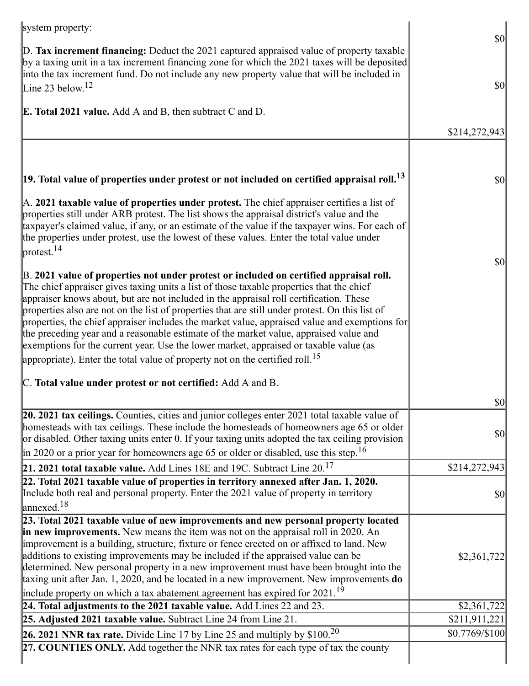| system property:                                                                                                                                                                                                                                                                                                                                                                                                                                                                                                                                                                                                                                                                                                                                               |                                                                            |
|----------------------------------------------------------------------------------------------------------------------------------------------------------------------------------------------------------------------------------------------------------------------------------------------------------------------------------------------------------------------------------------------------------------------------------------------------------------------------------------------------------------------------------------------------------------------------------------------------------------------------------------------------------------------------------------------------------------------------------------------------------------|----------------------------------------------------------------------------|
| $\mathbb{D}$ . Tax increment financing: Deduct the 2021 captured appraised value of property taxable<br>by a taxing unit in a tax increment financing zone for which the 2021 taxes will be deposited<br>into the tax increment fund. Do not include any new property value that will be included in<br>Line 23 below. <sup>12</sup>                                                                                                                                                                                                                                                                                                                                                                                                                           | $\vert \mathbf{S} \mathbf{0} \vert$<br>$\vert \mathbf{S} \mathbf{0} \vert$ |
|                                                                                                                                                                                                                                                                                                                                                                                                                                                                                                                                                                                                                                                                                                                                                                |                                                                            |
| <b>E. Total 2021 value.</b> Add A and B, then subtract C and D.                                                                                                                                                                                                                                                                                                                                                                                                                                                                                                                                                                                                                                                                                                |                                                                            |
|                                                                                                                                                                                                                                                                                                                                                                                                                                                                                                                                                                                                                                                                                                                                                                | \$214,272,943                                                              |
|                                                                                                                                                                                                                                                                                                                                                                                                                                                                                                                                                                                                                                                                                                                                                                |                                                                            |
| $ 19.$ Total value of properties under protest or not included on certified appraisal roll. $^{13}$                                                                                                                                                                                                                                                                                                                                                                                                                                                                                                                                                                                                                                                            | $\vert \mathbf{S} \mathbf{0} \vert$                                        |
| $\mathbb A$ . 2021 taxable value of properties under protest. The chief appraiser certifies a list of<br>properties still under ARB protest. The list shows the appraisal district's value and the<br>taxpayer's claimed value, if any, or an estimate of the value if the taxpayer wins. For each of<br>the properties under protest, use the lowest of these values. Enter the total value under<br>$\vert$ protest. <sup>14</sup>                                                                                                                                                                                                                                                                                                                           |                                                                            |
| B. 2021 value of properties not under protest or included on certified appraisal roll.<br>The chief appraiser gives taxing units a list of those taxable properties that the chief<br>appraiser knows about, but are not included in the appraisal roll certification. These<br>properties also are not on the list of properties that are still under protest. On this list of<br>properties, the chief appraiser includes the market value, appraised value and exemptions for<br>the preceding year and a reasonable estimate of the market value, appraised value and<br>exemptions for the current year. Use the lower market, appraised or taxable value (as<br>appropriate). Enter the total value of property not on the certified roll. <sup>15</sup> | \$0                                                                        |
| C. Total value under protest or not certified: Add A and B.                                                                                                                                                                                                                                                                                                                                                                                                                                                                                                                                                                                                                                                                                                    |                                                                            |
|                                                                                                                                                                                                                                                                                                                                                                                                                                                                                                                                                                                                                                                                                                                                                                | $ 10\rangle$                                                               |
| $[20. 2021$ tax ceilings. Counties, cities and junior colleges enter 2021 total taxable value of<br>homesteads with tax ceilings. These include the homesteads of homeowners age 65 or older<br>or disabled. Other taxing units enter 0. If your taxing units adopted the tax ceiling provision                                                                                                                                                                                                                                                                                                                                                                                                                                                                | $\vert \mathbf{S} \mathbf{0} \vert$                                        |
| $\left  \text{in } 2020 \text{ or a prior year for home owners age 65 or older or disabled, use this step.} \right ^{16}$                                                                                                                                                                                                                                                                                                                                                                                                                                                                                                                                                                                                                                      |                                                                            |
| 21. 2021 total taxable value. Add Lines 18E and 19C. Subtract Line $20^{17}$                                                                                                                                                                                                                                                                                                                                                                                                                                                                                                                                                                                                                                                                                   | \$214,272,943                                                              |
| 22. Total 2021 taxable value of properties in territory annexed after Jan. 1, 2020.<br>Include both real and personal property. Enter the 2021 value of property in territory<br>$\vert$ annexed. <sup>18</sup>                                                                                                                                                                                                                                                                                                                                                                                                                                                                                                                                                | $\vert \mathbf{S} \mathbf{O} \vert$                                        |
| 23. Total 2021 taxable value of new improvements and new personal property located                                                                                                                                                                                                                                                                                                                                                                                                                                                                                                                                                                                                                                                                             |                                                                            |
| in new improvements. New means the item was not on the appraisal roll in 2020. An                                                                                                                                                                                                                                                                                                                                                                                                                                                                                                                                                                                                                                                                              |                                                                            |
| improvement is a building, structure, fixture or fence erected on or affixed to land. New<br>additions to existing improvements may be included if the appraised value can be                                                                                                                                                                                                                                                                                                                                                                                                                                                                                                                                                                                  | \$2,361,722                                                                |
| determined. New personal property in a new improvement must have been brought into the                                                                                                                                                                                                                                                                                                                                                                                                                                                                                                                                                                                                                                                                         |                                                                            |
| taxing unit after Jan. 1, 2020, and be located in a new improvement. New improvements do                                                                                                                                                                                                                                                                                                                                                                                                                                                                                                                                                                                                                                                                       |                                                                            |
| include property on which a tax abatement agreement has expired for $2021.^{19}$                                                                                                                                                                                                                                                                                                                                                                                                                                                                                                                                                                                                                                                                               |                                                                            |
| 24. Total adjustments to the 2021 taxable value. Add Lines 22 and 23.                                                                                                                                                                                                                                                                                                                                                                                                                                                                                                                                                                                                                                                                                          | \$2,361,722                                                                |
| $25.$ Adjusted 2021 taxable value. Subtract Line 24 from Line 21.                                                                                                                                                                                                                                                                                                                                                                                                                                                                                                                                                                                                                                                                                              | \$211,911,221                                                              |
| <b>26. 2021 NNR tax rate.</b> Divide Line 17 by Line 25 and multiply by $$100.20$                                                                                                                                                                                                                                                                                                                                                                                                                                                                                                                                                                                                                                                                              | $$0.7769/\$100$                                                            |
| 27. COUNTIES ONLY. Add together the NNR tax rates for each type of tax the county                                                                                                                                                                                                                                                                                                                                                                                                                                                                                                                                                                                                                                                                              |                                                                            |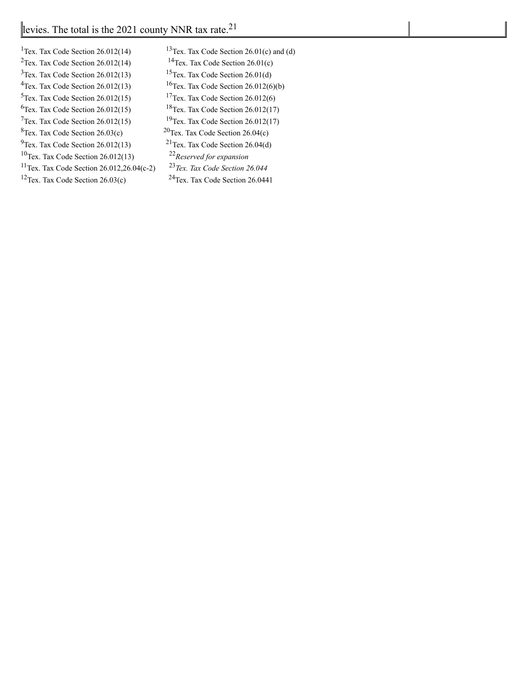| <sup>1</sup> Tex. Tax Code Section $26.012(14)$       | $13$ Tex. Tax $\alpha$ |
|-------------------------------------------------------|------------------------|
| $2$ Tex. Tax Code Section 26.012(14)                  | $14$ Tex. Tax          |
| $3$ Tex. Tax Code Section 26.012(13)                  | $15$ Tex. Tax $\alpha$ |
| $4$ Tex. Tax Code Section 26.012(13)                  | $16$ Tex. Tax $\alpha$ |
| $5$ Tex. Tax Code Section 26.012(15)                  | $17$ Tex. Tax $\alpha$ |
| ${}^{6}$ Tex. Tax Code Section 26.012(15)             | $18$ Tex. Tax $\sigma$ |
| $7$ Tex. Tax Code Section 26.012(15)                  | $19$ Tex. Tax $\alpha$ |
| ${}^{8}$ Tex. Tax Code Section 26.03(c)               | $20$ Tex. Tax C        |
| $9$ Tex. Tax Code Section 26.012(13)                  | $21$ Tex. Tax $\alpha$ |
| $10$ Tex. Tax Code Section 26.012(13)                 | $22$ Reserved          |
| <sup>11</sup> Tex. Tax Code Section 26.012,26.04(c-2) | $^{23}$ Tex. Tax       |
| $12$ Tex. Tax Code Section 26.03(c)                   | $24$ Tex. Tax          |
|                                                       |                        |

Code Section  $26.01(c)$  and (d) Code Section  $26.01(c)$ Code Section 26.01(d) Code Section  $26.012(6)(b)$  $Code Section 26.012(6)$ Code Section  $26.012(17)$  $Code Section 26.012(17)$  $26.04(c)$ Code Section 26.04(d) <sup>10</sup>Tex. Tax Code Section 26.012(13) 22*Reserved for expansion* <sup>11</sup>Tex. Tax Code Section 26.012,26.04(c-2) 23*Tex. Tax Code Section 26.044* Code Section 26.0441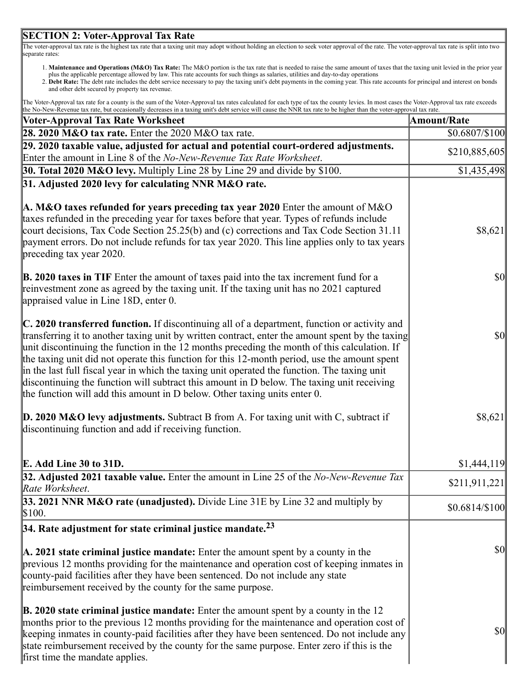#### **SECTION 2: Voter-Approval Tax Rate**

The voter-approval tax rate is the highest tax rate that a taxing unit may adopt without holding an election to seek voter approval of the rate. The voter-approval tax rate is split into two separate rates:

- 1. **Maintenance and Operations (M&O) Tax Rate:** The M&O portion is the tax rate that is needed to raise the same amount of taxes that the taxing unit levied in the prior year plus the applicable percentage allowed by law. This rate accounts for such things as salaries, utilities and day-to-day operations
- 2. **Debt Rate:** The debt rate includes the debt service necessary to pay the taxing unit's debt payments in the coming year. This rate accounts for principal and interest on bonds and other debt secured by property tax revenue.

| The Voter-Approval tax rate for a county is the sum of the Voter-Approval tax rates calculated for each type of tax the county levies. In most cases the Voter-Approval tax rate exceeds |  |
|------------------------------------------------------------------------------------------------------------------------------------------------------------------------------------------|--|
| the No-New-Revenue tax rate, but occasionally decreases in a taxing unit's debt service will cause the NNR tax rate to be higher than the voter-approval tax rate.                       |  |

| <b>Voter-Approval Tax Rate Worksheet</b>                                                                                                                                                                                                                                                                                                                                                                                                                                                                                                                                                                                                                                                     | <b>Amount/Rate</b>                  |
|----------------------------------------------------------------------------------------------------------------------------------------------------------------------------------------------------------------------------------------------------------------------------------------------------------------------------------------------------------------------------------------------------------------------------------------------------------------------------------------------------------------------------------------------------------------------------------------------------------------------------------------------------------------------------------------------|-------------------------------------|
| 28. 2020 $M&O$ tax rate. Enter the 2020 $M&O$ tax rate.                                                                                                                                                                                                                                                                                                                                                                                                                                                                                                                                                                                                                                      | \$0.6807/\$100                      |
| 29. 2020 taxable value, adjusted for actual and potential court-ordered adjustments.                                                                                                                                                                                                                                                                                                                                                                                                                                                                                                                                                                                                         | \$210,885,605                       |
| Enter the amount in Line 8 of the No-New-Revenue Tax Rate Worksheet.                                                                                                                                                                                                                                                                                                                                                                                                                                                                                                                                                                                                                         |                                     |
| <b>30. Total 2020 M&amp;O levy.</b> Multiply Line 28 by Line 29 and divide by \$100.                                                                                                                                                                                                                                                                                                                                                                                                                                                                                                                                                                                                         | \$1,435,498                         |
| 31. Adjusted 2020 levy for calculating NNR M&O rate.                                                                                                                                                                                                                                                                                                                                                                                                                                                                                                                                                                                                                                         |                                     |
| A. M&O taxes refunded for years preceding tax year 2020 Enter the amount of M&O<br>taxes refunded in the preceding year for taxes before that year. Types of refunds include<br>court decisions, Tax Code Section 25.25(b) and (c) corrections and Tax Code Section 31.11<br>payment errors. Do not include refunds for tax year 2020. This line applies only to tax years<br>preceding tax year 2020.                                                                                                                                                                                                                                                                                       | \$8,621                             |
| B. 2020 taxes in TIF Enter the amount of taxes paid into the tax increment fund for a<br>reinvestment zone as agreed by the taxing unit. If the taxing unit has no 2021 captured<br>appraised value in Line 18D, enter 0.                                                                                                                                                                                                                                                                                                                                                                                                                                                                    | $\vert \mathbf{S} \mathbf{O} \vert$ |
| $\mathbb{C}$ . 2020 transferred function. If discontinuing all of a department, function or activity and<br>transferring it to another taxing unit by written contract, enter the amount spent by the taxing<br>unit discontinuing the function in the 12 months preceding the month of this calculation. If<br>the taxing unit did not operate this function for this 12-month period, use the amount spent<br>in the last full fiscal year in which the taxing unit operated the function. The taxing unit<br>discontinuing the function will subtract this amount in D below. The taxing unit receiving<br>the function will add this amount in $D$ below. Other taxing units enter $0$ . | $\vert \mathbf{S} \mathbf{O} \vert$ |
| <b>D. 2020 M&amp;O levy adjustments.</b> Subtract B from A. For taxing unit with C, subtract if<br>discontinuing function and add if receiving function.                                                                                                                                                                                                                                                                                                                                                                                                                                                                                                                                     | \$8,621                             |
| E. Add Line 30 to 31D.                                                                                                                                                                                                                                                                                                                                                                                                                                                                                                                                                                                                                                                                       | \$1,444,119                         |
| 32. Adjusted 2021 taxable value. Enter the amount in Line 25 of the No-New-Revenue Tax<br>Rate Worksheet.                                                                                                                                                                                                                                                                                                                                                                                                                                                                                                                                                                                    | \$211,911,221                       |
| 33. 2021 NNR M&O rate (unadjusted). Divide Line 31E by Line 32 and multiply by<br>\$100.                                                                                                                                                                                                                                                                                                                                                                                                                                                                                                                                                                                                     | $$0.6814/\$100$                     |
| $ 34.$ Rate adjustment for state criminal justice mandate. $23$                                                                                                                                                                                                                                                                                                                                                                                                                                                                                                                                                                                                                              |                                     |
| $\mathbf{A}$ . 2021 state criminal justice mandate: Enter the amount spent by a county in the<br>previous 12 months providing for the maintenance and operation cost of keeping inmates in<br>county-paid facilities after they have been sentenced. Do not include any state<br>reimbursement received by the county for the same purpose.                                                                                                                                                                                                                                                                                                                                                  | $\vert \mathbf{S} \mathbf{O} \vert$ |
| $\mathbf{B}$ . 2020 state criminal justice mandate: Enter the amount spent by a county in the 12<br>months prior to the previous 12 months providing for the maintenance and operation cost of<br>keeping inmates in county-paid facilities after they have been sentenced. Do not include any<br>state reimbursement received by the county for the same purpose. Enter zero if this is the<br>first time the mandate applies.                                                                                                                                                                                                                                                              | $\vert \mathbf{S} \mathbf{O} \vert$ |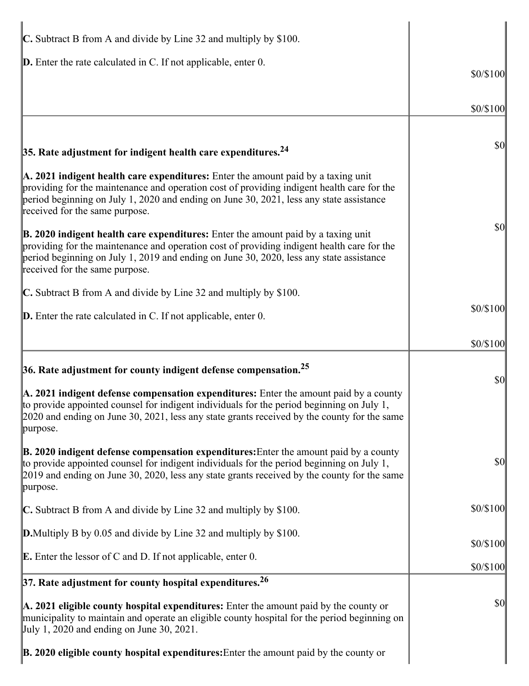| $\mathbb C$ . Subtract B from A and divide by Line 32 and multiply by \$100.                                                                                                                                                                                                                                                      |           |
|-----------------------------------------------------------------------------------------------------------------------------------------------------------------------------------------------------------------------------------------------------------------------------------------------------------------------------------|-----------|
| <b>D.</b> Enter the rate calculated in C. If not applicable, enter 0.                                                                                                                                                                                                                                                             | \$0/\$100 |
|                                                                                                                                                                                                                                                                                                                                   |           |
|                                                                                                                                                                                                                                                                                                                                   | \$0/\$100 |
|                                                                                                                                                                                                                                                                                                                                   | \$0       |
| 35. Rate adjustment for indigent health care expenditures. $^{24}$                                                                                                                                                                                                                                                                |           |
| A. 2021 indigent health care expenditures: Enter the amount paid by a taxing unit<br>providing for the maintenance and operation cost of providing indigent health care for the<br>period beginning on July 1, 2020 and ending on June 30, 2021, less any state assistance<br>received for the same purpose.                      |           |
| $\mathbf{\mathbb{B}}$ . 2020 indigent health care expenditures: Enter the amount paid by a taxing unit<br>providing for the maintenance and operation cost of providing indigent health care for the<br>period beginning on July 1, 2019 and ending on June 30, 2020, less any state assistance<br>received for the same purpose. | \$0       |
| C. Subtract B from A and divide by Line 32 and multiply by \$100.                                                                                                                                                                                                                                                                 |           |
| <b>D.</b> Enter the rate calculated in C. If not applicable, enter 0.                                                                                                                                                                                                                                                             | \$0/\$100 |
|                                                                                                                                                                                                                                                                                                                                   | \$0/\$100 |
| 36. Rate adjustment for county indigent defense compensation. $25$                                                                                                                                                                                                                                                                |           |
| A. 2021 indigent defense compensation expenditures: Enter the amount paid by a county<br>to provide appointed counsel for indigent individuals for the period beginning on July 1,<br>$[2020$ and ending on June 30, 2021, less any state grants received by the county for the same<br>purpose.                                  | \$0       |
| $\mathbf{\mathbb{B}}$ . 2020 indigent defense compensation expenditures: Enter the amount paid by a county<br>to provide appointed counsel for indigent individuals for the period beginning on July 1,<br>2019 and ending on June 30, 2020, less any state grants received by the county for the same<br>purpose.                | \$0       |
| $\mathbb C$ . Subtract B from A and divide by Line 32 and multiply by \$100.                                                                                                                                                                                                                                                      | \$0/\$100 |
| <b>D.</b> Multiply B by 0.05 and divide by Line 32 and multiply by \$100.                                                                                                                                                                                                                                                         |           |
| <b>E.</b> Enter the lessor of C and D. If not applicable, enter 0.                                                                                                                                                                                                                                                                | \$0/\$100 |
| $37.$ Rate adjustment for county hospital expenditures. <sup>26</sup>                                                                                                                                                                                                                                                             | \$0/\$100 |
| $\mathbf{A}$ . 2021 eligible county hospital expenditures: Enter the amount paid by the county or<br>municipality to maintain and operate an eligible county hospital for the period beginning on<br>$\vert$ July 1, 2020 and ending on June 30, 2021.                                                                            | \$0       |
| $\mathbf{B}$ . 2020 eligible county hospital expenditures: Enter the amount paid by the county or                                                                                                                                                                                                                                 |           |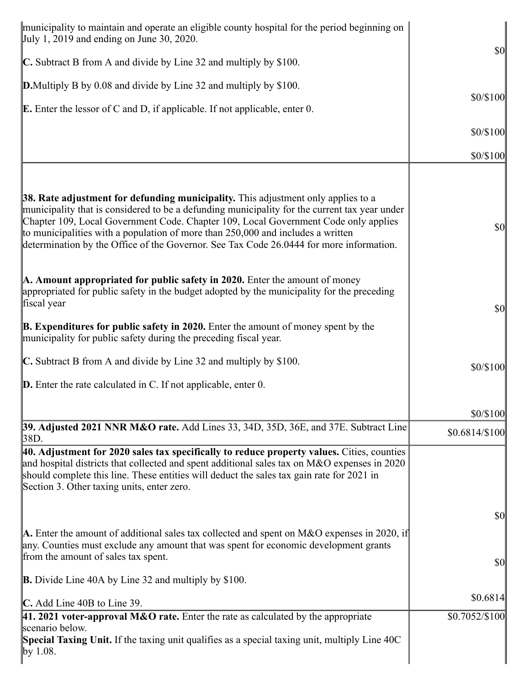| municipality to maintain and operate an eligible county hospital for the period beginning on<br>$\text{July } 1, 2019 \text{ and ending on June } 30, 2020.$                                                                                                                                                                                                                                                                                              |                                     |
|-----------------------------------------------------------------------------------------------------------------------------------------------------------------------------------------------------------------------------------------------------------------------------------------------------------------------------------------------------------------------------------------------------------------------------------------------------------|-------------------------------------|
| C. Subtract B from A and divide by Line 32 and multiply by \$100.                                                                                                                                                                                                                                                                                                                                                                                         | $ 10\rangle$                        |
| <b>D.</b> Multiply B by 0.08 and divide by Line 32 and multiply by \$100.                                                                                                                                                                                                                                                                                                                                                                                 |                                     |
| <b>E.</b> Enter the lessor of C and D, if applicable. If not applicable, enter $0$ .                                                                                                                                                                                                                                                                                                                                                                      | \$0/\$100                           |
|                                                                                                                                                                                                                                                                                                                                                                                                                                                           | \$0/\$100                           |
|                                                                                                                                                                                                                                                                                                                                                                                                                                                           | \$0/\$100                           |
|                                                                                                                                                                                                                                                                                                                                                                                                                                                           |                                     |
| 38. Rate adjustment for defunding municipality. This adjustment only applies to a<br>municipality that is considered to be a defunding municipality for the current tax year under<br>Chapter 109, Local Government Code. Chapter 109, Local Government Code only applies<br>to municipalities with a population of more than $250,000$ and includes a written<br>determination by the Office of the Governor. See Tax Code 26.0444 for more information. | \$0                                 |
| A. Amount appropriated for public safety in 2020. Enter the amount of money<br>appropriated for public safety in the budget adopted by the municipality for the preceding<br>fiscal year                                                                                                                                                                                                                                                                  | $\vert \mathbf{S} \mathbf{0} \vert$ |
| <b>B.</b> Expenditures for public safety in 2020. Enter the amount of money spent by the<br>municipality for public safety during the preceding fiscal year.                                                                                                                                                                                                                                                                                              |                                     |
| $\mathbb C$ . Subtract B from A and divide by Line 32 and multiply by \$100.                                                                                                                                                                                                                                                                                                                                                                              | \$0/\$100                           |
| $\mathbf{D}$ . Enter the rate calculated in C. If not applicable, enter 0.                                                                                                                                                                                                                                                                                                                                                                                |                                     |
|                                                                                                                                                                                                                                                                                                                                                                                                                                                           | \$0/\$100                           |
| 39. Adjusted 2021 NNR M&O rate. Add Lines 33, 34D, 35D, 36E, and 37E. Subtract Line<br>38D.                                                                                                                                                                                                                                                                                                                                                               | $$0.6814/\$100$                     |
| $ 40.$ Adjustment for 2020 sales tax specifically to reduce property values. Cities, counties<br>and hospital districts that collected and spent additional sales tax on M&O expenses in 2020<br>should complete this line. These entities will deduct the sales tax gain rate for 2021 in<br>Section 3. Other taxing units, enter zero.                                                                                                                  |                                     |
|                                                                                                                                                                                                                                                                                                                                                                                                                                                           | $\vert \mathbf{S} \mathbf{0} \vert$ |
| <b>A.</b> Enter the amount of additional sales tax collected and spent on M&O expenses in 2020, if<br>any. Counties must exclude any amount that was spent for economic development grants<br>from the amount of sales tax spent.                                                                                                                                                                                                                         | $\vert \mathbf{S} \mathbf{0} \vert$ |
| <b>B.</b> Divide Line 40A by Line 32 and multiply by \$100.                                                                                                                                                                                                                                                                                                                                                                                               |                                     |
| $\mathbb{C}$ . Add Line 40B to Line 39.                                                                                                                                                                                                                                                                                                                                                                                                                   | \$0.6814                            |
| 41. 2021 voter-approval M&O rate. Enter the rate as calculated by the appropriate<br>scenario below.                                                                                                                                                                                                                                                                                                                                                      | $$0.7052/\$100$                     |
| Special Taxing Unit. If the taxing unit qualifies as a special taxing unit, multiply Line 40C<br>$\gamma$ 1.08.                                                                                                                                                                                                                                                                                                                                           |                                     |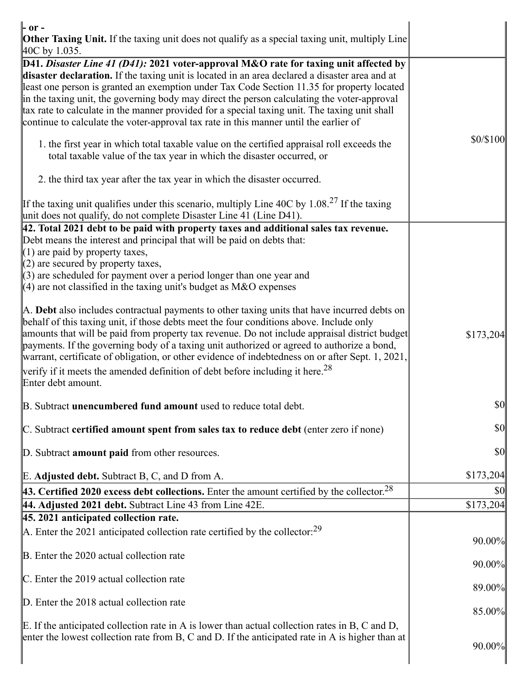| $\mathbf{r}$ or $\mathbf{r}$                                                                                                                                                                                                                                                                                                                                                                                                                                                                                                                                                   |               |
|--------------------------------------------------------------------------------------------------------------------------------------------------------------------------------------------------------------------------------------------------------------------------------------------------------------------------------------------------------------------------------------------------------------------------------------------------------------------------------------------------------------------------------------------------------------------------------|---------------|
| <b>Other Taxing Unit.</b> If the taxing unit does not qualify as a special taxing unit, multiply Line<br>$ 40C$ by 1.035.                                                                                                                                                                                                                                                                                                                                                                                                                                                      |               |
| D41. Disaster Line 41 (D41): 2021 voter-approval M&O rate for taxing unit affected by<br>disaster declaration. If the taxing unit is located in an area declared a disaster area and at<br>least one person is granted an exemption under Tax Code Section 11.35 for property located<br>in the taxing unit, the governing body may direct the person calculating the voter-approval<br>tax rate to calculate in the manner provided for a special taxing unit. The taxing unit shall<br>continue to calculate the voter-approval tax rate in this manner until the earlier of |               |
| 1. the first year in which total taxable value on the certified appraisal roll exceeds the<br>total taxable value of the tax year in which the disaster occurred, or                                                                                                                                                                                                                                                                                                                                                                                                           | \$0/\$100     |
| 2. the third tax year after the tax year in which the disaster occurred.                                                                                                                                                                                                                                                                                                                                                                                                                                                                                                       |               |
| If the taxing unit qualifies under this scenario, multiply Line 40C by 1.08. <sup>27</sup> If the taxing<br>unit does not qualify, do not complete Disaster Line 41 (Line D41).                                                                                                                                                                                                                                                                                                                                                                                                |               |
| 42. Total 2021 debt to be paid with property taxes and additional sales tax revenue.<br>Debt means the interest and principal that will be paid on debts that:<br>$(1)$ are paid by property taxes,<br>$(2)$ are secured by property taxes,                                                                                                                                                                                                                                                                                                                                    |               |
| $(3)$ are scheduled for payment over a period longer than one year and<br>(4) are not classified in the taxing unit's budget as M&O expenses                                                                                                                                                                                                                                                                                                                                                                                                                                   |               |
| A. Debt also includes contractual payments to other taxing units that have incurred debts on<br>behalf of this taxing unit, if those debts meet the four conditions above. Include only<br>amounts that will be paid from property tax revenue. Do not include appraisal district budget<br>payments. If the governing body of a taxing unit authorized or agreed to authorize a bond,<br>warrant, certificate of obligation, or other evidence of indebtedness on or after Sept. 1, 2021,                                                                                     | \$173,204     |
| verify if it meets the amended definition of debt before including it here. <sup>28</sup><br>Enter debt amount.                                                                                                                                                                                                                                                                                                                                                                                                                                                                |               |
| B. Subtract unencumbered fund amount used to reduce total debt.                                                                                                                                                                                                                                                                                                                                                                                                                                                                                                                | $\frac{1}{2}$ |
| C. Subtract certified amount spent from sales tax to reduce debt (enter zero if none)                                                                                                                                                                                                                                                                                                                                                                                                                                                                                          | <b>\$0</b>    |
| D. Subtract <b>amount paid</b> from other resources.                                                                                                                                                                                                                                                                                                                                                                                                                                                                                                                           | \$0           |
| E. Adjusted debt. Subtract B, C, and D from A.                                                                                                                                                                                                                                                                                                                                                                                                                                                                                                                                 | \$173,204     |
| <b>43. Certified 2020 excess debt collections.</b> Enter the amount certified by the collector. <sup>28</sup>                                                                                                                                                                                                                                                                                                                                                                                                                                                                  | \$0           |
| 44. Adjusted 2021 debt. Subtract Line 43 from Line 42E.                                                                                                                                                                                                                                                                                                                                                                                                                                                                                                                        | \$173,204     |
| 45. 2021 anticipated collection rate.                                                                                                                                                                                                                                                                                                                                                                                                                                                                                                                                          |               |
| A. Enter the 2021 anticipated collection rate certified by the collector: $29$                                                                                                                                                                                                                                                                                                                                                                                                                                                                                                 | 90.00%        |
| B. Enter the 2020 actual collection rate                                                                                                                                                                                                                                                                                                                                                                                                                                                                                                                                       | 90.00%        |
| $\mathbb{C}$ . Enter the 2019 actual collection rate                                                                                                                                                                                                                                                                                                                                                                                                                                                                                                                           | 89.00%        |
| D. Enter the 2018 actual collection rate                                                                                                                                                                                                                                                                                                                                                                                                                                                                                                                                       | 85.00%        |
| E. If the anticipated collection rate in A is lower than actual collection rates in B, C and D,<br>enter the lowest collection rate from B, C and D. If the anticipated rate in A is higher than at                                                                                                                                                                                                                                                                                                                                                                            | 90.00%        |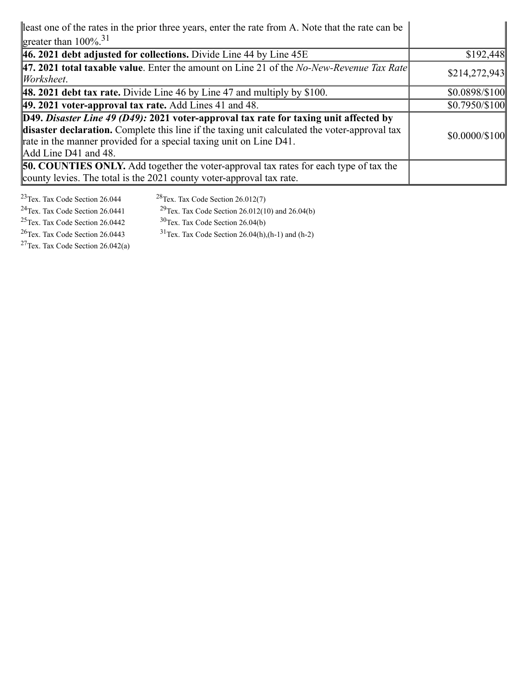| least one of the rates in the prior three years, enter the rate from A. Note that the rate can be                                                                                                                                                                                                           |                      |
|-------------------------------------------------------------------------------------------------------------------------------------------------------------------------------------------------------------------------------------------------------------------------------------------------------------|----------------------|
| greater than $100\%$ <sup>31</sup>                                                                                                                                                                                                                                                                          |                      |
| $ 46.2021$ debt adjusted for collections. Divide Line 44 by Line 45E                                                                                                                                                                                                                                        | \$192,448            |
| <b>47. 2021 total taxable value.</b> Enter the amount on Line 21 of the No-New-Revenue Tax Rate<br>$ Work sheet$ .                                                                                                                                                                                          | \$214,272,943        |
| <b>48. 2021 debt tax rate.</b> Divide Line 46 by Line 47 and multiply by $$100$ .                                                                                                                                                                                                                           | \$0.0898/\$100       |
| $\vert$ 49. 2021 voter-approval tax rate. Add Lines 41 and 48.                                                                                                                                                                                                                                              | $$0.7950/\$100$      |
| $[D49. \textit{Disaster Line 49 (D49): } 2021 \text{ voters-approxal tax rate for taking unit affected by }$<br>disaster declaration. Complete this line if the taxing unit calculated the voter-approval tax<br>rate in the manner provided for a special taxing unit on Line D41.<br>Add Line D41 and 48. | $$0.0000 \times 100$ |
| <b>50. COUNTIES ONLY.</b> Add together the voter-approval tax rates for each type of tax the<br>county levies. The total is the 2021 county voter-approval tax rate.                                                                                                                                        |                      |

<sup>23</sup>Tex. Tax Code Section 26.044 <sup>28</sup>Tex. Tax Code Section 26.012(7)<br><sup>24</sup>Tex. Tax Code Section 26.0441 <sup>29</sup>Tex. Tax Code Section 26.012(10 <sup>24</sup>Tex. Tax Code Section 26.0441 <sup>29</sup>Tex. Tax Code Section 26.012(10) and 26.04(b)<br><sup>25</sup>Tex. Tax Code Section 26.0442 <sup>30</sup>Tex. Tax Code Section 26.04(b) <sup>25</sup>Tex. Tax Code Section 26.0442 <sup>30</sup>Tex. Tax Code Section 26.04(b)<br><sup>26</sup>Tex. Tax Code Section 26.0443 <sup>31</sup>Tex. Tax Code Section 26.04(h),  $31$ Tex. Tax Code Section 26.04(h),(h-1) and (h-2)  $27$ Tex. Tax Code Section 26.042(a)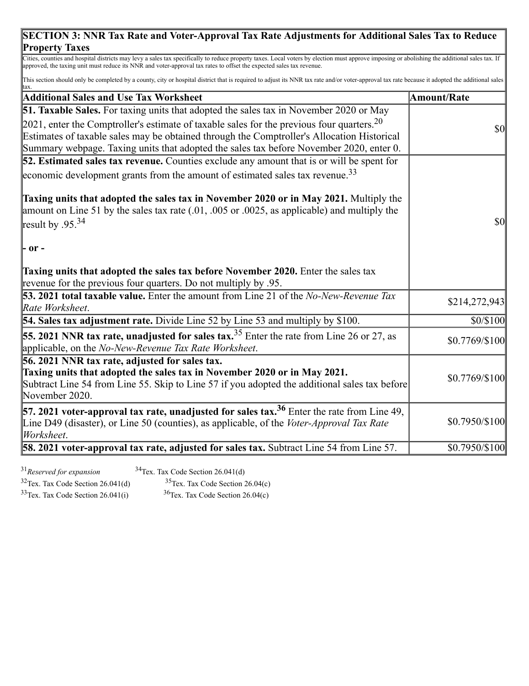### **SECTION 3: NNR Tax Rate and Voter-Approval Tax Rate Adjustments for Additional Sales Tax to Reduce Property Taxes**

Cities, counties and hospital districts may levy a sales tax specifically to reduce property taxes. Local voters by election must approve imposing or abolishing the additional sales tax. If approved, the taxing unit must reduce its NNR and voter-approval tax rates to offset the expected sales tax revenue.

This section should only be completed by a county, city or hospital district that is required to adjust its NNR tax rate and/or voter-approval tax rate because it adopted the additional sales

| tax.                                                                                                                                                                                                                                                                                  |                    |
|---------------------------------------------------------------------------------------------------------------------------------------------------------------------------------------------------------------------------------------------------------------------------------------|--------------------|
| <b>Additional Sales and Use Tax Worksheet</b>                                                                                                                                                                                                                                         | <b>Amount/Rate</b> |
| <b>51. Taxable Sales.</b> For taxing units that adopted the sales tax in November 2020 or May                                                                                                                                                                                         |                    |
| 2021, enter the Comptroller's estimate of taxable sales for the previous four quarters. $20$<br>Estimates of taxable sales may be obtained through the Comptroller's Allocation Historical<br>Summary webpage. Taxing units that adopted the sales tax before November 2020, enter 0. | <b>\$0</b>         |
| 52. Estimated sales tax revenue. Counties exclude any amount that is or will be spent for                                                                                                                                                                                             |                    |
| economic development grants from the amount of estimated sales tax revenue. <sup>33</sup>                                                                                                                                                                                             |                    |
| <b>Taxing units that adopted the sales tax in November 2020 or in May 2021.</b> Multiply the<br>amount on Line 51 by the sales tax rate $(.01, .005)$ or $.0025$ , as applicable) and multiply the<br>result by $.95^{34}$                                                            | <b>\$0</b>         |
| - or -                                                                                                                                                                                                                                                                                |                    |
| Taxing units that adopted the sales tax before November 2020. Enter the sales tax<br>revenue for the previous four quarters. Do not multiply by .95.                                                                                                                                  |                    |
| <b>53. 2021 total taxable value.</b> Enter the amount from Line 21 of the No-New-Revenue Tax<br>Rate Worksheet.                                                                                                                                                                       | \$214,272,943      |
| 54. Sales tax adjustment rate. Divide Line 52 by Line 53 and multiply by \$100.                                                                                                                                                                                                       | \$0/\$100          |
| <b>55. 2021 NNR tax rate, unadjusted for sales tax.</b> $35$ Enter the rate from Line 26 or 27, as<br>applicable, on the No-New-Revenue Tax Rate Worksheet.                                                                                                                           | $$0.7769/\$100$    |
| 56. 2021 NNR tax rate, adjusted for sales tax.                                                                                                                                                                                                                                        |                    |
| Taxing units that adopted the sales tax in November 2020 or in May 2021.<br>Subtract Line 54 from Line 55. Skip to Line 57 if you adopted the additional sales tax before<br>November 2020.                                                                                           | \$0.7769/\$100     |
| <b>57. 2021 voter-approval tax rate, unadjusted for sales tax.</b> <sup>36</sup> Enter the rate from Line 49,<br>Line D49 (disaster), or Line 50 (counties), as applicable, of the Voter-Approval Tax Rate<br>Worksheet.                                                              | \$0.7950/\$100     |
| <b>58. 2021 voter-approval tax rate, adjusted for sales tax.</b> Subtract Line 54 from Line 57.                                                                                                                                                                                       | \$0.7950/\$100     |

<sup>31</sup>*Reserved for expansion*

<sup>34</sup>Tex. Tax Code Section 26.041(d)

 $32$ Tex. Tax Code Section 26.041(d)  $35$ Tex. Tax Code Section 26.04(c)

 $33$ Tex. Tax Code Section 26.041(i)  $36$ Tex. Tax Code Section 26.04(c)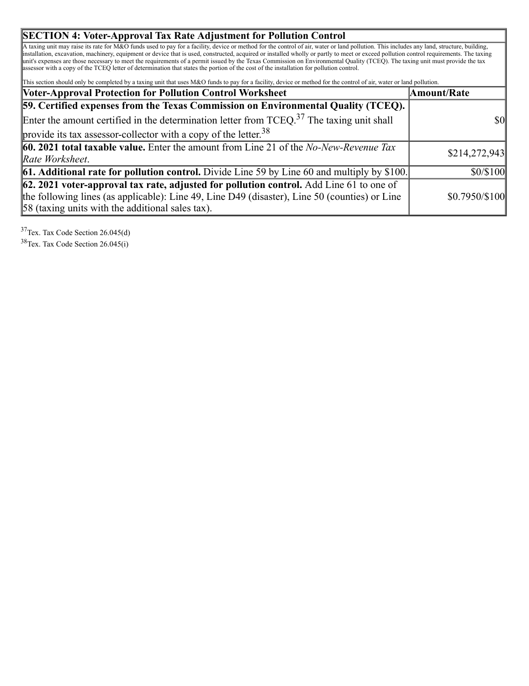#### **SECTION 4: Voter-Approval Tax Rate Adjustment for Pollution Control**

A taxing unit may raise its rate for M&O funds used to pay for a facility, device or method for the control of air, water or land pollution. This includes any land, structure, building, installation, excavation, machinery, equipment or device that is used, constructed, acquired or installed wholly or partly to meet or exceed pollution control requirements. The taxing unit's expenses are those necessary to meet the requirements of a permit issued by the Texas Commission on Environmental Quality (TCEQ). The taxing unit must provide the tax assessor with a copy of the TCEQ letter of determination that states the portion of the cost of the installation for pollution control.

This section should only be completed by a taxing unit that uses M&O funds to pay for a facility, device or method for the control of air, water or land pollution.

| <b>Voter-Approval Protection for Pollution Control Worksheet</b>                                         | Amount/Rate    |
|----------------------------------------------------------------------------------------------------------|----------------|
| <b>59. Certified expenses from the Texas Commission on Environmental Quality (TCEQ).</b>                 |                |
| Enter the amount certified in the determination letter from $TCEQ37$ . The taxing unit shall             | \$0            |
| provide its tax assessor-collector with a copy of the letter. $38$                                       |                |
| 60. 2021 total taxable value. Enter the amount from Line 21 of the No-New-Revenue Tax                    | \$214,272,943  |
| Rate Worksheet.                                                                                          |                |
| <b>61. Additional rate for pollution control.</b> Divide Line 59 by Line 60 and multiply by \$100.       | \$0/\$100      |
| $\left  62, 2021 \right $ voter-approval tax rate, adjusted for pollution control. Add Line 61 to one of |                |
| the following lines (as applicable): Line 49, Line D49 (disaster), Line 50 (counties) or Line            | \$0.7950/\$100 |
| $ 58$ (taxing units with the additional sales tax).                                                      |                |

<sup>37</sup>Tex. Tax Code Section 26.045(d)

<sup>38</sup>Tex. Tax Code Section 26.045(i)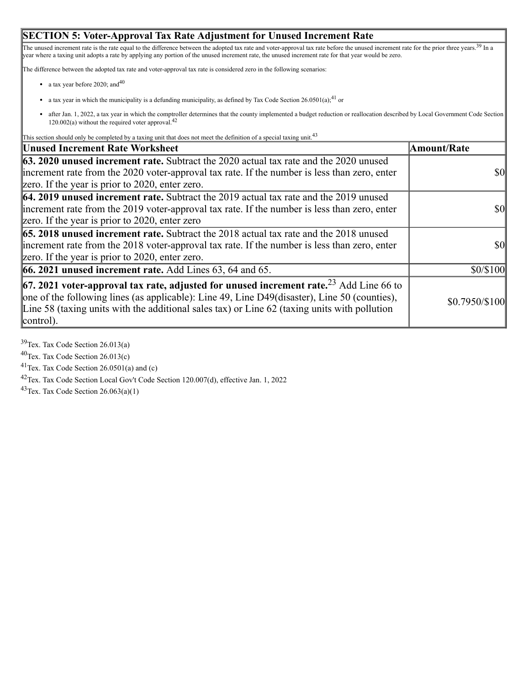#### **SECTION 5: Voter-Approval Tax Rate Adjustment for Unused Increment Rate**

The unused increment rate is the rate equal to the difference between the adopted tax rate and voter-approval tax rate before the unused increment rate for the prior three years.<sup>39</sup> In a year where a taxing unit adopts a rate by applying any portion of the unused increment rate, the unused increment rate for that year would be zero.

The difference between the adopted tax rate and voter-approval tax rate is considered zero in the following scenarios:

- a tax year before 2020; and  $40$
- a tax year in which the municipality is a defunding municipality, as defined by Tax Code Section  $26.0501(a)$ ;<sup>41</sup> or
- after Jan. 1, 2022, a tax year in which the comptroller determines that the county implemented a budget reduction or reallocation described by Local Government Code Section 120.002(a) without the required voter approval.<sup>42</sup>

This section should only be completed by a taxing unit that does not meet the definition of a special taxing unit.<sup>43</sup>

| <b>Unused Increment Rate Worksheet</b>                                                                                                                                                                                                                                                                                   | Amount/Rate     |
|--------------------------------------------------------------------------------------------------------------------------------------------------------------------------------------------------------------------------------------------------------------------------------------------------------------------------|-----------------|
| <b>63. 2020 unused increment rate.</b> Subtract the 2020 actual tax rate and the 2020 unused<br>increment rate from the 2020 voter-approval tax rate. If the number is less than zero, enter<br>zero. If the year is prior to 2020, enter zero.                                                                          | $ 10\rangle$    |
| <b>64. 2019 unused increment rate.</b> Subtract the 2019 actual tax rate and the 2019 unused<br>increment rate from the 2019 voter-approval tax rate. If the number is less than zero, enter<br>zero. If the year is prior to 2020, enter zero                                                                           | $ 10\rangle$    |
| <b>65. 2018 unused increment rate.</b> Subtract the 2018 actual tax rate and the 2018 unused<br>increment rate from the 2018 voter-approval tax rate. If the number is less than zero, enter<br>zero. If the year is prior to 2020, enter zero.                                                                          | $\overline{50}$ |
| <b>66. 2021 unused increment rate.</b> Add Lines 63, 64 and 65.                                                                                                                                                                                                                                                          | \$0/\$100       |
| <b>67. 2021 voter-approval tax rate, adjusted for unused increment rate.</b> <sup>23</sup> Add Line 66 to<br>one of the following lines (as applicable): Line 49, Line D49(disaster), Line 50 (counties),<br>Line 58 (taxing units with the additional sales tax) or Line $62$ (taxing units with pollution<br>control). | \$0.7950/\$100  |

<sup>39</sup>Tex. Tax Code Section 26.013(a)

<sup>40</sup>Tex. Tax Code Section 26.013(c)

 $41$ Tex. Tax Code Section 26.0501(a) and (c)

<sup>42</sup>Tex. Tax Code Section Local Gov't Code Section 120.007(d), effective Jan. 1, 2022

 $43$ Tex. Tax Code Section 26.063(a)(1)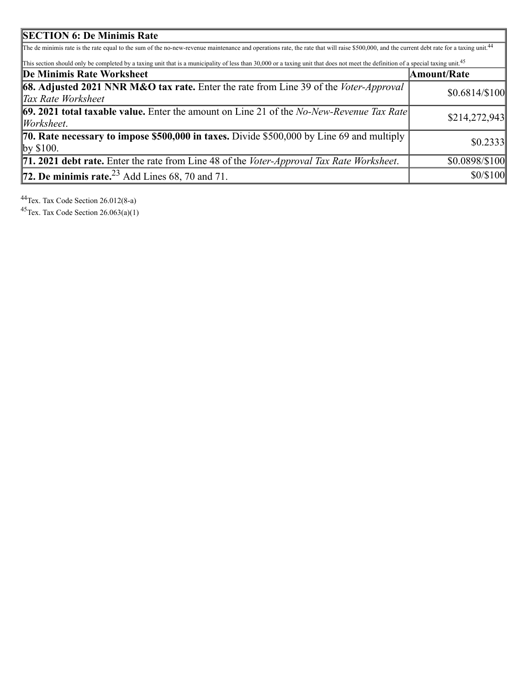| <b>SECTION 6: De Minimis Rate</b>                                                                                                                                                                      |                 |
|--------------------------------------------------------------------------------------------------------------------------------------------------------------------------------------------------------|-----------------|
| The de minimis rate is the rate equal to the sum of the no-new-revenue maintenance and operations rate, the rate that will raise \$500,000, and the current debt rate for a taxing unit. <sup>44</sup> |                 |
| This section should only be completed by a taxing unit that is a municipality of less than 30,000 or a taxing unit that does not meet the definition of a special taxing unit. <sup>45</sup>           |                 |
| De Minimis Rate Worksheet                                                                                                                                                                              | Amount/Rate     |
| <b>68.</b> Adjusted 2021 NNR M&O tax rate. Enter the rate from Line 39 of the Voter-Approval<br>Tax Rate Worksheet                                                                                     | $$0.6814/\$100$ |
| <b>69. 2021 total taxable value.</b> Enter the amount on Line 21 of the No-New-Revenue Tax Rate<br>Worksheet.                                                                                          | \$214,272,943   |
| <b>70. Rate necessary to impose \$500,000 in taxes.</b> Divide \$500,000 by Line 69 and multiply<br>$\gamma$ \$100.                                                                                    | \$0.2333        |
| <b>71. 2021 debt rate.</b> Enter the rate from Line 48 of the <i>Voter-Approval Tax Rate Worksheet</i> .                                                                                               | \$0.0898/\$100  |
| 72. De minimis rate. $23$ Add Lines 68, 70 and 71.                                                                                                                                                     | \$0/\$100       |

<sup>44</sup>Tex. Tax Code Section 26.012(8-a)

 $45$ Tex. Tax Code Section 26.063(a)(1)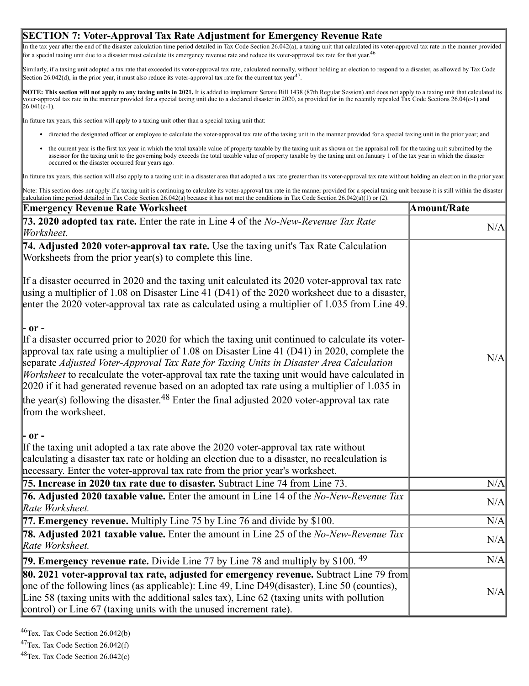#### **SECTION 7: Voter-Approval Tax Rate Adjustment for Emergency Revenue Rate**

In the tax year after the end of the disaster calculation time period detailed in Tax Code Section 26.042(a), a taxing unit that calculated its voter-approval tax rate in the manner provided for a special taxing unit due to a disaster must calculate its emergency revenue rate and reduce its voter-approval tax rate for that year.<sup>46</sup>

Similarly, if a taxing unit adopted a tax rate that exceeded its voter-approval tax rate, calculated normally, without holding an election to respond to a disaster, as allowed by Tax Code Section 26.042(d), in the prior year, it must also reduce its voter-approval tax rate for the current tax year<sup>47</sup>.

**NOTE: This section will not apply to any taxing units in 2021.** It is added to implement Senate Bill 1438 (87th Regular Session) and does not apply to a taxing unit that calculated its voter-approval tax rate in the manner provided for a special taxing unit due to a declared disaster in 2020, as provided for in the recently repealed Tax Code Sections 26.04(c-1) and  $26.041(c-1)$ .

In future tax years, this section will apply to a taxing unit other than a special taxing unit that:

- directed the designated officer or employee to calculate the voter-approval tax rate of the taxing unit in the manner provided for a special taxing unit in the prior year; and
- the current year is the first tax year in which the total taxable value of property taxable by the taxing unit as shown on the appraisal roll for the taxing unit submitted by the assessor for the taxing unit to the governing body exceeds the total taxable value of property taxable by the taxing unit on January 1 of the tax year in which the disaster occurred or the disaster occurred four years ago.

In future tax years, this section will also apply to a taxing unit in a disaster area that adopted a tax rate greater than its voter-approval tax rate without holding an election in the prior year.

Note: This section does not apply if a taxing unit is continuing to calculate its voter-approval tax rate in the manner provided for a special taxing unit because it is still within the disaster calculation time period detailed in Tax Code Section 26.042(a) because it has not met the conditions in Tax Code Section 26.042(a)(1) or (2).

| <b>Emergency Revenue Rate Worksheet</b>                                                                                                                                                                                                                                                                                                                                                                                                                                                                                                                                                                                                         | <b>Amount/Rate</b> |
|-------------------------------------------------------------------------------------------------------------------------------------------------------------------------------------------------------------------------------------------------------------------------------------------------------------------------------------------------------------------------------------------------------------------------------------------------------------------------------------------------------------------------------------------------------------------------------------------------------------------------------------------------|--------------------|
| 73. 2020 adopted tax rate. Enter the rate in Line 4 of the No-New-Revenue Tax Rate<br>Worksheet.                                                                                                                                                                                                                                                                                                                                                                                                                                                                                                                                                | N/A                |
| 74. Adjusted 2020 voter-approval tax rate. Use the taxing unit's Tax Rate Calculation<br>Worksheets from the prior year(s) to complete this line.                                                                                                                                                                                                                                                                                                                                                                                                                                                                                               |                    |
| If a disaster occurred in 2020 and the taxing unit calculated its 2020 voter-approval tax rate<br>using a multiplier of 1.08 on Disaster Line 41 (D41) of the 2020 worksheet due to a disaster,<br>enter the 2020 voter-approval tax rate as calculated using a multiplier of 1.035 from Line 49.                                                                                                                                                                                                                                                                                                                                               |                    |
| - or -<br>If a disaster occurred prior to 2020 for which the taxing unit continued to calculate its voter-<br>approval tax rate using a multiplier of 1.08 on Disaster Line 41 (D41) in 2020, complete the<br>separate Adjusted Voter-Approval Tax Rate for Taxing Units in Disaster Area Calculation<br><i>Worksheet</i> to recalculate the voter-approval tax rate the taxing unit would have calculated in<br>2020 if it had generated revenue based on an adopted tax rate using a multiplier of 1.035 in<br>the year(s) following the disaster. <sup>48</sup> Enter the final adjusted 2020 voter-approval tax rate<br>from the worksheet. | N/A                |
| - or -<br>If the taxing unit adopted a tax rate above the 2020 voter-approval tax rate without<br>calculating a disaster tax rate or holding an election due to a disaster, no recalculation is<br>necessary. Enter the voter-approval tax rate from the prior year's worksheet.                                                                                                                                                                                                                                                                                                                                                                |                    |
| 75. Increase in 2020 tax rate due to disaster. Subtract Line 74 from Line 73.                                                                                                                                                                                                                                                                                                                                                                                                                                                                                                                                                                   | N/A                |
| <b>76. Adjusted 2020 taxable value.</b> Enter the amount in Line 14 of the <i>No-New-Revenue Tax</i><br>Rate Worksheet.                                                                                                                                                                                                                                                                                                                                                                                                                                                                                                                         | N/A                |
| 77. Emergency revenue. Multiply Line 75 by Line 76 and divide by \$100.                                                                                                                                                                                                                                                                                                                                                                                                                                                                                                                                                                         | N/A                |
| 78. Adjusted 2021 taxable value. Enter the amount in Line 25 of the No-New-Revenue Tax<br>Rate Worksheet.                                                                                                                                                                                                                                                                                                                                                                                                                                                                                                                                       | N/A                |
| 79. Emergency revenue rate. Divide Line 77 by Line 78 and multiply by \$100. <sup>49</sup>                                                                                                                                                                                                                                                                                                                                                                                                                                                                                                                                                      | N/A                |
| <b>80. 2021 voter-approval tax rate, adjusted for emergency revenue.</b> Subtract Line 79 from<br>one of the following lines (as applicable): Line $49$ , Line D $49$ (disaster), Line 50 (counties),<br>Line 58 (taxing units with the additional sales tax), Line 62 (taxing units with pollution<br>control) or Line 67 (taxing units with the unused increment rate).                                                                                                                                                                                                                                                                       | N/A                |

<sup>46</sup>Tex. Tax Code Section 26.042(b)

<sup>47</sup>Tex. Tax Code Section 26.042(f)

<sup>48</sup>Tex. Tax Code Section 26.042(c)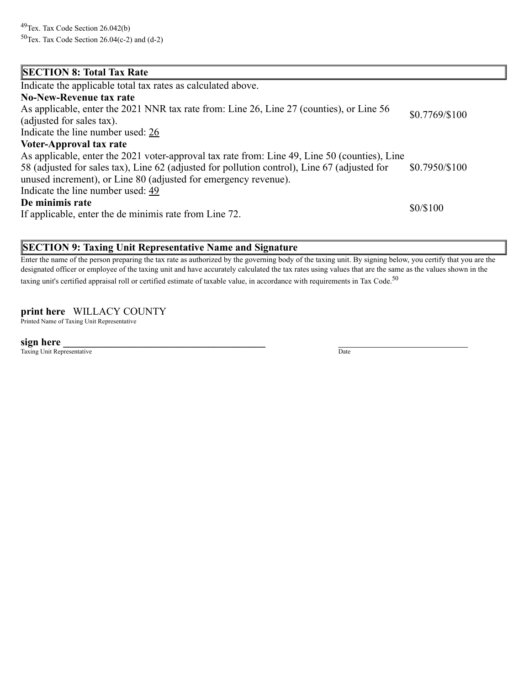#### **SECTION 8: Total Tax Rate** Indicate the applicable total tax rates as calculated above. **No-New-Revenue tax rate** As applicable, enter the 2021 NNR tax rate from: Line 26, Line 27 (counties), or Line 56 (adjusted for sales tax). Indicate the line number used: 26 \$0.7769/\$100 **Voter-Approval tax rate** As applicable, enter the 2021 voter-approval tax rate from: Line 49, Line 50 (counties), Line 58 (adjusted for sales tax), Line 62 (adjusted for pollution control), Line 67 (adjusted for unused increment), or Line 80 (adjusted for emergency revenue). Indicate the line number used: 49 \$0.7950/\$100 **De minimis rate** If applicable, enter the de minimis rate from Line 72. \$0/\$100

#### **SECTION 9: Taxing Unit Representative Name and Signature**

Enter the name of the person preparing the tax rate as authorized by the governing body of the taxing unit. By signing below, you certify that you are the designated officer or employee of the taxing unit and have accurately calculated the tax rates using values that are the same as the values shown in the taxing unit's certified appraisal roll or certified estimate of taxable value, in accordance with requirements in Tax Code.<sup>50</sup>

#### **print here** WILLACY COUNTY

Printed Name of Taxing Unit Representative

**sign here \_\_\_\_\_\_\_\_\_\_\_\_\_\_\_\_\_\_\_\_\_\_\_\_\_\_\_\_\_\_\_\_\_\_\_\_\_\_\_** \_\_\_\_\_\_\_\_\_\_\_\_\_\_\_\_\_\_\_\_\_\_\_\_\_

Taxing Unit Representative Date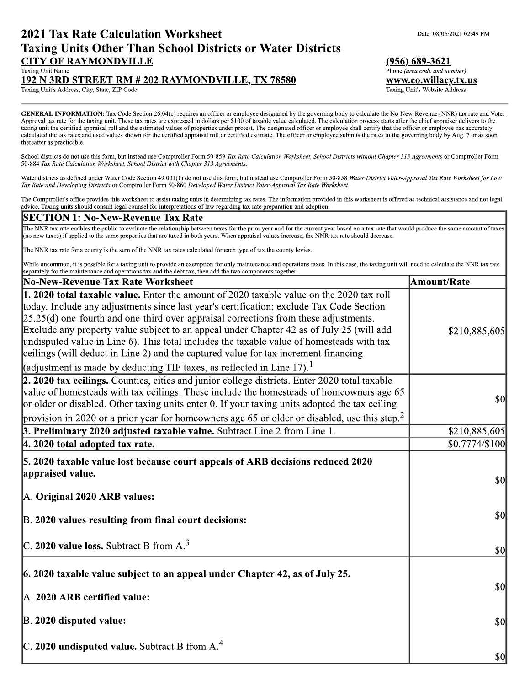#### **2021 Tax Rate Calculation Worksheet Taxing Units Other Than School Districts or Water Districts CITY OF RAYMONDVILLE** Taxing Unit Name

#### **192 N 3RD STREET RM # 202 RAYMONDVILLE, TX 78580**

Taxing Unit's Address, City, State, ZIP Code

GENERAL INFORMATION: Tax Code Section 26.04(c) requires an officer or employee designated by the governing body to calculate the No-New-Revenue (NNR) tax rate and Voter-Approval tax rate for the taxing unit. These tax rates are expressed in dollars per \$100 of taxable value calculated. The calculation process starts after the chief appraiser delivers to the taxing unit the certified appraisal roll and the estimated values of properties under protest. The designated officer or employee shall certify that the officer or employee has accurately calculated the tax rates and used values shown for the certified appraisal roll or certified estimate. The officer or employee submits the rates to the governing body by Aug. 7 or as soon thereafter as practicable.

School districts do not use this form, but instead use Comptroller Form 50-859 Tax Rate Calculation Worksheet, School Districts without Chapter 313 Agreements or Comptroller Form 50-884 Tax Rate Calculation Worksheet, School District with Chapter 313 Agreements.

Water districts as defined under Water Code Section 49.001(1) do not use this form, but instead use Comptroller Form 50-858 Water District Voter-Approval Tax Rate Worksheet for Low Tax Rate and Developing Districts or Comptroller Form 50-860 Developed Water District Voter-Approval Tax Rate Worksheet.

The Comptroller's office provides this worksheet to assist taxing units in determining tax rates. The information provided in this worksheet is offered as technical assistance and not legal advice. Taxing units should consult legal counsel for interpretations of law regarding tax rate preparation and adoption.

#### **SECTION 1: No-New-Revenue Tax Rate**

The NNR tax rate enables the public to evaluate the relationship between taxes for the prior year and for the current year based on a tax rate that would produce the same amount of taxes (no new taxes) if applied to the same properties that are taxed in both years. When appraisal values increase, the NNR tax rate should decrease.

The NNR tax rate for a county is the sum of the NNR tax rates calculated for each type of tax the county levies.

While uncommon, it is possible for a taxing unit to provide an exemption for only maintenance and operations taxes. In this case, the taxing unit will need to calculate the NNR tax rate separately for the maintenance and operations tax and the debt tax, then add the two components together.

| No-New-Revenue Tax Rate Worksheet                                                                                                                                                                                                                                                                                                                                                                                                                                                                                                                                                                                                                            | <b>Amount/Rate</b>                  |
|--------------------------------------------------------------------------------------------------------------------------------------------------------------------------------------------------------------------------------------------------------------------------------------------------------------------------------------------------------------------------------------------------------------------------------------------------------------------------------------------------------------------------------------------------------------------------------------------------------------------------------------------------------------|-------------------------------------|
| <b>1. 2020 total taxable value.</b> Enter the amount of 2020 taxable value on the 2020 tax roll<br>today. Include any adjustments since last year's certification; exclude Tax Code Section<br>$[25.25(d)$ one-fourth and one-third over-appraisal corrections from these adjustments.<br>Exclude any property value subject to an appeal under Chapter 42 as of July 25 (will add<br>undisputed value in Line 6). This total includes the taxable value of homesteads with tax<br>ceilings (will deduct in Line 2) and the captured value for tax increment financing<br>(adjustment is made by deducting TIF taxes, as reflected in Line 17). <sup>1</sup> | \$210,885,605                       |
| 2. 2020 tax ceilings. Counties, cities and junior college districts. Enter 2020 total taxable<br>value of homesteads with tax ceilings. These include the homesteads of homeowners age 65<br>or older or disabled. Other taxing units enter 0. If your taxing units adopted the tax ceiling<br>provision in 2020 or a prior year for homeowners age 65 or older or disabled, use this step. <sup>2</sup>                                                                                                                                                                                                                                                     | $\frac{1}{2}$                       |
| 3. Preliminary 2020 adjusted taxable value. Subtract Line 2 from Line 1.                                                                                                                                                                                                                                                                                                                                                                                                                                                                                                                                                                                     | \$210,885,605                       |
| $ 4.2020$ total adopted tax rate.                                                                                                                                                                                                                                                                                                                                                                                                                                                                                                                                                                                                                            | \$0.7774/\$100                      |
| 5. 2020 taxable value lost because court appeals of ARB decisions reduced 2020<br>appraised value.<br>A. Original 2020 ARB values:                                                                                                                                                                                                                                                                                                                                                                                                                                                                                                                           | $\vert \mathbf{S} \mathbf{0} \vert$ |
| B. 2020 values resulting from final court decisions:                                                                                                                                                                                                                                                                                                                                                                                                                                                                                                                                                                                                         | $\sqrt{30}$                         |
| C. 2020 value loss. Subtract B from $A3$                                                                                                                                                                                                                                                                                                                                                                                                                                                                                                                                                                                                                     | $ 10\rangle$                        |
| $\ $ 6. 2020 taxable value subject to an appeal under Chapter 42, as of July 25.<br>A. 2020 ARB certified value:                                                                                                                                                                                                                                                                                                                                                                                                                                                                                                                                             | $\vert \mathbf{S} \mathbf{0} \vert$ |
| $\mathbb B$ . 2020 disputed value:                                                                                                                                                                                                                                                                                                                                                                                                                                                                                                                                                                                                                           | \$0                                 |
| C. 2020 undisputed value. Subtract B from $A^4$ .                                                                                                                                                                                                                                                                                                                                                                                                                                                                                                                                                                                                            | \$0                                 |

 $(956)$  689-3621 Phone (area code and number) www.co.willacy.tx.us

Taxing Unit's Website Address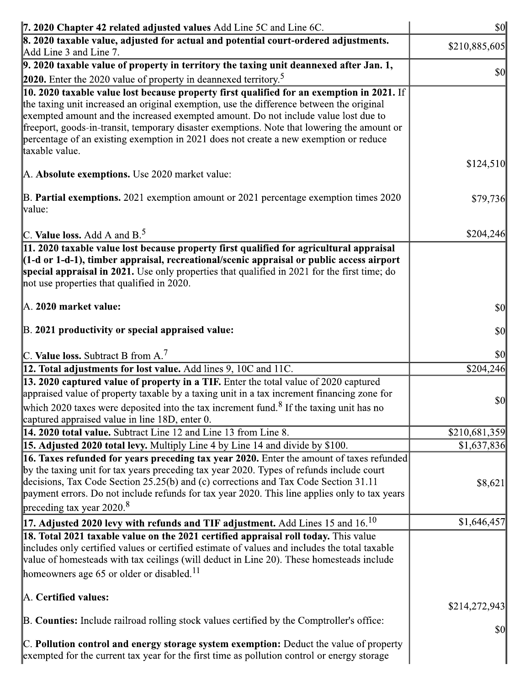| 7. 2020 Chapter 42 related adjusted values Add Line 5C and Line 6C.<br>8. 2020 taxable value, adjusted for actual and potential court-ordered adjustments.                                                                                                                                                                                                                                | <b>\$0</b>                          |
|-------------------------------------------------------------------------------------------------------------------------------------------------------------------------------------------------------------------------------------------------------------------------------------------------------------------------------------------------------------------------------------------|-------------------------------------|
| Add Line 3 and Line 7.                                                                                                                                                                                                                                                                                                                                                                    | \$210,885,605                       |
| $\vert$ 9. 2020 taxable value of property in territory the taxing unit deannexed after Jan. 1,                                                                                                                                                                                                                                                                                            | $\vert \mathbf{S} \mathbf{O} \vert$ |
| 2020. Enter the 2020 value of property in deannexed territory. <sup>5</sup><br>10. 2020 taxable value lost because property first qualified for an exemption in 2021. If                                                                                                                                                                                                                  |                                     |
| the taxing unit increased an original exemption, use the difference between the original<br>exempted amount and the increased exempted amount. Do not include value lost due to<br>freeport, goods-in-transit, temporary disaster exemptions. Note that lowering the amount or<br>percentage of an existing exemption in 2021 does not create a new exemption or reduce<br>taxable value. |                                     |
| A. Absolute exemptions. Use 2020 market value:                                                                                                                                                                                                                                                                                                                                            | \$124,510                           |
| B. Partial exemptions. 2021 exemption amount or 2021 percentage exemption times 2020<br>value:                                                                                                                                                                                                                                                                                            | \$79,736                            |
| C. Value loss. Add A and $B^5$                                                                                                                                                                                                                                                                                                                                                            | \$204,246                           |
| 11. 2020 taxable value lost because property first qualified for agricultural appraisal<br>$(1-d \text{ or } 1-d-1)$ , timber appraisal, recreational/scenic appraisal or public access airport<br>special appraisal in 2021. Use only properties that qualified in 2021 for the first time; do<br>not use properties that qualified in 2020.                                             |                                     |
| A. 2020 market value:                                                                                                                                                                                                                                                                                                                                                                     | $\frac{1}{2}$                       |
| B. 2021 productivity or special appraised value:                                                                                                                                                                                                                                                                                                                                          | 10                                  |
| C. Value loss. Subtract B from $A$ . <sup>7</sup>                                                                                                                                                                                                                                                                                                                                         | $ 10\rangle$                        |
| 12. Total adjustments for lost value. Add lines 9, 10C and 11C.<br>13. 2020 captured value of property in a TIF. Enter the total value of 2020 captured                                                                                                                                                                                                                                   | \$204,246                           |
| appraised value of property taxable by a taxing unit in a tax increment financing zone for<br>which 2020 taxes were deposited into the tax increment fund. <sup>8</sup> If the taxing unit has no                                                                                                                                                                                         | $\vert \mathbf{S} \mathbf{0} \vert$ |
| captured appraised value in line 18D, enter 0.                                                                                                                                                                                                                                                                                                                                            |                                     |
| 14. 2020 total value. Subtract Line 12 and Line 13 from Line 8.                                                                                                                                                                                                                                                                                                                           | \$210,681,359                       |
| 15. Adjusted 2020 total levy. Multiply Line 4 by Line 14 and divide by \$100.<br>16. Taxes refunded for years preceding tax year 2020. Enter the amount of taxes refunded                                                                                                                                                                                                                 | \$1,637,836                         |
| by the taxing unit for tax years preceding tax year 2020. Types of refunds include court<br>decisions, Tax Code Section 25.25(b) and (c) corrections and Tax Code Section 31.11<br>payment errors. Do not include refunds for tax year 2020. This line applies only to tax years<br>preceding tax year $2020$ . <sup>8</sup>                                                              | \$8,621                             |
| 17. Adjusted 2020 levy with refunds and TIF adjustment. Add Lines 15 and 16. $^{10}$                                                                                                                                                                                                                                                                                                      | \$1,646,457                         |
| 18. Total 2021 taxable value on the 2021 certified appraisal roll today. This value<br>includes only certified values or certified estimate of values and includes the total taxable<br>value of homesteads with tax ceilings (will deduct in Line 20). These homesteads include<br>homeowners age 65 or older or disabled. <sup>11</sup>                                                 |                                     |
|                                                                                                                                                                                                                                                                                                                                                                                           | \$214,272,943                       |
| A. Certified values:                                                                                                                                                                                                                                                                                                                                                                      |                                     |
| B. Counties: Include railroad rolling stock values certified by the Comptroller's office:                                                                                                                                                                                                                                                                                                 | $\frac{1}{2}$                       |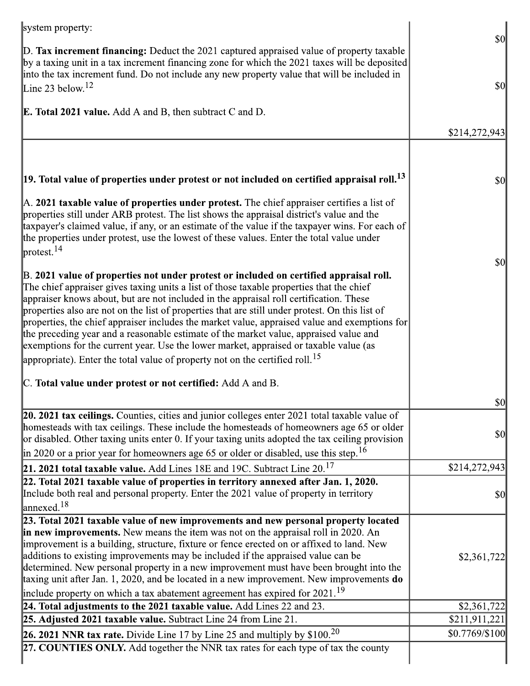| system property:                                                                                                                                                                                                                                                                                                                                                                                                                                                                                                                                                                                                                                                                                                                                               |                |
|----------------------------------------------------------------------------------------------------------------------------------------------------------------------------------------------------------------------------------------------------------------------------------------------------------------------------------------------------------------------------------------------------------------------------------------------------------------------------------------------------------------------------------------------------------------------------------------------------------------------------------------------------------------------------------------------------------------------------------------------------------------|----------------|
| $\mathbb{D}$ . Tax increment financing: Deduct the 2021 captured appraised value of property taxable<br>by a taxing unit in a tax increment financing zone for which the 2021 taxes will be deposited<br>into the tax increment fund. Do not include any new property value that will be included in                                                                                                                                                                                                                                                                                                                                                                                                                                                           | \$0            |
| Line 23 below. <sup>12</sup>                                                                                                                                                                                                                                                                                                                                                                                                                                                                                                                                                                                                                                                                                                                                   | 30             |
| <b>E. Total 2021 value.</b> Add A and B, then subtract C and D.                                                                                                                                                                                                                                                                                                                                                                                                                                                                                                                                                                                                                                                                                                |                |
|                                                                                                                                                                                                                                                                                                                                                                                                                                                                                                                                                                                                                                                                                                                                                                | \$214,272,943  |
|                                                                                                                                                                                                                                                                                                                                                                                                                                                                                                                                                                                                                                                                                                                                                                |                |
|                                                                                                                                                                                                                                                                                                                                                                                                                                                                                                                                                                                                                                                                                                                                                                |                |
| $\vert$ 19. Total value of properties under protest or not included on certified appraisal roll. $^{13}$                                                                                                                                                                                                                                                                                                                                                                                                                                                                                                                                                                                                                                                       | \$0            |
| $\mathbb A$ . 2021 taxable value of properties under protest. The chief appraiser certifies a list of<br>properties still under ARB protest. The list shows the appraisal district's value and the<br>taxpayer's claimed value, if any, or an estimate of the value if the taxpayer wins. For each of<br>the properties under protest, use the lowest of these values. Enter the total value under<br>$\vert$ protest. <sup>14</sup>                                                                                                                                                                                                                                                                                                                           |                |
| B. 2021 value of properties not under protest or included on certified appraisal roll.<br>The chief appraiser gives taxing units a list of those taxable properties that the chief<br>appraiser knows about, but are not included in the appraisal roll certification. These<br>properties also are not on the list of properties that are still under protest. On this list of<br>properties, the chief appraiser includes the market value, appraised value and exemptions for<br>the preceding year and a reasonable estimate of the market value, appraised value and<br>exemptions for the current year. Use the lower market, appraised or taxable value (as<br>appropriate). Enter the total value of property not on the certified roll. <sup>15</sup> | \$0            |
| C. Total value under protest or not certified: Add A and B.                                                                                                                                                                                                                                                                                                                                                                                                                                                                                                                                                                                                                                                                                                    |                |
|                                                                                                                                                                                                                                                                                                                                                                                                                                                                                                                                                                                                                                                                                                                                                                | $ 10\rangle$   |
| 20. 2021 tax ceilings. Counties, cities and junior colleges enter 2021 total taxable value of<br>homesteads with tax ceilings. These include the homesteads of homeowners age 65 or older<br>or disabled. Other taxing units enter 0. If your taxing units adopted the tax ceiling provision                                                                                                                                                                                                                                                                                                                                                                                                                                                                   | \$0            |
| $\parallel$ in 2020 or a prior year for homeowners age 65 or older or disabled, use this step. <sup>16</sup>                                                                                                                                                                                                                                                                                                                                                                                                                                                                                                                                                                                                                                                   |                |
| <b>21. 2021 total taxable value.</b> Add Lines 18E and 19C. Subtract Line $20^{17}$                                                                                                                                                                                                                                                                                                                                                                                                                                                                                                                                                                                                                                                                            | \$214,272,943  |
| $22.$ Total 2021 taxable value of properties in territory annexed after Jan. 1, 2020.<br>Include both real and personal property. Enter the 2021 value of property in territory<br>$\lvert$ annexed. <sup>18</sup>                                                                                                                                                                                                                                                                                                                                                                                                                                                                                                                                             | \$0            |
| 23. Total 2021 taxable value of new improvements and new personal property located                                                                                                                                                                                                                                                                                                                                                                                                                                                                                                                                                                                                                                                                             |                |
| in new improvements. New means the item was not on the appraisal roll in 2020. An                                                                                                                                                                                                                                                                                                                                                                                                                                                                                                                                                                                                                                                                              |                |
| improvement is a building, structure, fixture or fence erected on or affixed to land. New<br>additions to existing improvements may be included if the appraised value can be                                                                                                                                                                                                                                                                                                                                                                                                                                                                                                                                                                                  | \$2,361,722    |
| determined. New personal property in a new improvement must have been brought into the                                                                                                                                                                                                                                                                                                                                                                                                                                                                                                                                                                                                                                                                         |                |
| taxing unit after Jan. 1, 2020, and be located in a new improvement. New improvements do                                                                                                                                                                                                                                                                                                                                                                                                                                                                                                                                                                                                                                                                       |                |
| include property on which a tax abatement agreement has expired for $2021$ . <sup>19</sup>                                                                                                                                                                                                                                                                                                                                                                                                                                                                                                                                                                                                                                                                     |                |
| 24. Total adjustments to the 2021 taxable value. Add Lines $22$ and $23$ .                                                                                                                                                                                                                                                                                                                                                                                                                                                                                                                                                                                                                                                                                     | \$2,361,722    |
| <b>25. Adjusted 2021 taxable value.</b> Subtract Line 24 from Line 21.                                                                                                                                                                                                                                                                                                                                                                                                                                                                                                                                                                                                                                                                                         | \$211,911,221  |
| 26. 2021 NNR tax rate. Divide Line 17 by Line 25 and multiply by $$100.20$                                                                                                                                                                                                                                                                                                                                                                                                                                                                                                                                                                                                                                                                                     | \$0.7769/\$100 |
| 27. COUNTIES ONLY. Add together the NNR tax rates for each type of tax the county                                                                                                                                                                                                                                                                                                                                                                                                                                                                                                                                                                                                                                                                              |                |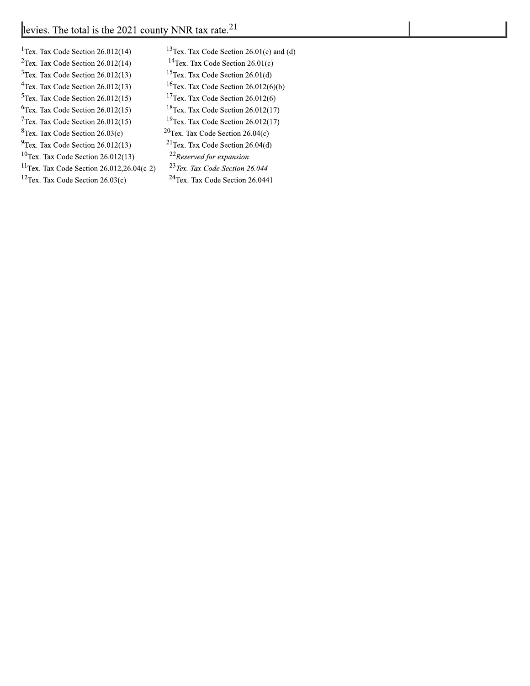| <sup>1</sup> Tex. Tax Code Section $26.012(14)$       | <sup>13</sup> Tex. Tax Code Section $26.01(c)$ and (d) |
|-------------------------------------------------------|--------------------------------------------------------|
| $2$ Tex. Tax Code Section 26.012(14)                  | <sup>14</sup> Tex. Tax Code Section $26.01(c)$         |
| $3$ Tex. Tax Code Section 26.012(13)                  | <sup>15</sup> Tex. Tax Code Section $26.01(d)$         |
| <sup>4</sup> Tex. Tax Code Section $26.012(13)$       | <sup>16</sup> Tex. Tax Code Section $26.012(6)(b)$     |
| $5$ Tex. Tax Code Section 26.012(15)                  | <sup>17</sup> Tex. Tax Code Section $26.012(6)$        |
| $5$ Tex. Tax Code Section 26.012(15)                  | <sup>18</sup> Tex. Tax Code Section $26.012(17)$       |
| $7$ Tex. Tax Code Section 26.012(15)                  | <sup>19</sup> Tex. Tax Code Section $26.012(17)$       |
| ${}^{3}$ Tex. Tax Code Section 26.03(c)               | ${}^{20}$ Tex. Tax Code Section 26.04(c)               |
| $^{9}$ Tex. Tax Code Section 26.012(13)               | <sup>21</sup> Tex. Tax Code Section $26.04(d)$         |
| $^{10}$ Tex. Tax Code Section 26.012(13)              | <sup>22</sup> Reserved for expansion                   |
| <sup>11</sup> Tex. Tax Code Section 26.012,26.04(c-2) | <sup>23</sup> Tex. Tax Code Section 26.044             |
| $12$ Tex. Tax Code Section 26.03(c)                   | <sup>24</sup> Tex. Tax Code Section 26.0441            |
|                                                       |                                                        |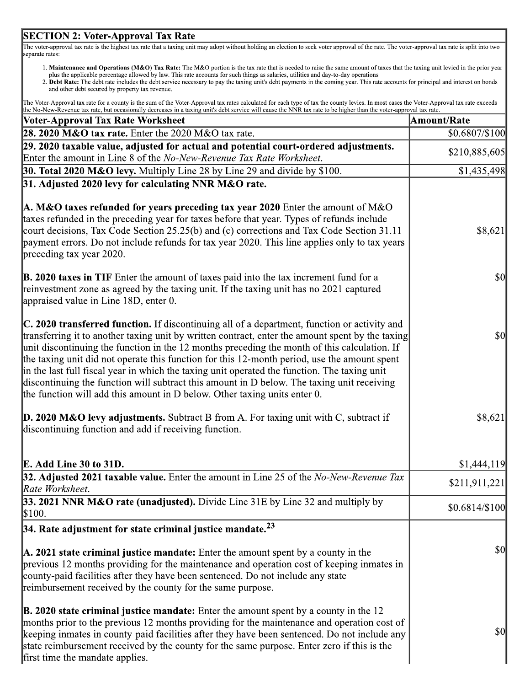#### **SECTION 2: Voter-Approval Tax Rate**

The voter-approval tax rate is the highest tax rate that a taxing unit may adopt without holding an election to seek voter approval of the rate. The voter-approval tax rate is split into two separate rates:

- 1. Maintenance and Operations (M&O) Tax Rate: The M&O portion is the tax rate that is needed to raise the same amount of taxes that the taxing unit levied in the prior year plus the applicable percentage allowed by law. Th
- and other debt secured by property tax revenue.

| The Voter-Approval tax rate for a county is the sum of the Voter-Approval tax rates calculated for each type of tax the county levies. In most cases the Voter-Approval tax rate exceeds |
|------------------------------------------------------------------------------------------------------------------------------------------------------------------------------------------|
| the No-New-Revenue tax rate, but occasionally decreases in a taxing unit's debt service will cause the NNR tax rate to be higher than the voter-approval tax rate.                       |

| ne ivo-ivew-recentle tax fate, out occasionally decreases in a taxing unit's deot service will cause the first tax fate to be inglier than the voter-approval tax fate<br>Voter-Approval Tax Rate Worksheet                                                                                                                                                                                                                                                                                                                                                                                                                                                                        | Amount/Rate    |
|------------------------------------------------------------------------------------------------------------------------------------------------------------------------------------------------------------------------------------------------------------------------------------------------------------------------------------------------------------------------------------------------------------------------------------------------------------------------------------------------------------------------------------------------------------------------------------------------------------------------------------------------------------------------------------|----------------|
| 28. 2020 M&O tax rate. Enter the $2020$ M&O tax rate.                                                                                                                                                                                                                                                                                                                                                                                                                                                                                                                                                                                                                              | \$0.6807/\$100 |
| 29. 2020 taxable value, adjusted for actual and potential court-ordered adjustments.                                                                                                                                                                                                                                                                                                                                                                                                                                                                                                                                                                                               | \$210,885,605  |
| Enter the amount in Line 8 of the No-New-Revenue Tax Rate Worksheet.                                                                                                                                                                                                                                                                                                                                                                                                                                                                                                                                                                                                               |                |
| <b>30. Total 2020 M&amp;O levy.</b> Multiply Line 28 by Line 29 and divide by \$100.                                                                                                                                                                                                                                                                                                                                                                                                                                                                                                                                                                                               | \$1,435,498    |
| 31. Adjusted 2020 levy for calculating NNR M&O rate.                                                                                                                                                                                                                                                                                                                                                                                                                                                                                                                                                                                                                               |                |
| A. M&O taxes refunded for years preceding tax year 2020 Enter the amount of M&O<br>taxes refunded in the preceding year for taxes before that year. Types of refunds include<br>court decisions, Tax Code Section 25.25(b) and (c) corrections and Tax Code Section 31.11<br>payment errors. Do not include refunds for tax year 2020. This line applies only to tax years<br>preceding tax year 2020.                                                                                                                                                                                                                                                                             | \$8,621        |
| <b>B. 2020 taxes in TIF</b> Enter the amount of taxes paid into the tax increment fund for a<br>reinvestment zone as agreed by the taxing unit. If the taxing unit has no 2021 captured<br>appraised value in Line 18D, enter 0.                                                                                                                                                                                                                                                                                                                                                                                                                                                   | $\sqrt{50}$    |
| <b>C. 2020 transferred function.</b> If discontinuing all of a department, function or activity and<br>transferring it to another taxing unit by written contract, enter the amount spent by the taxing<br>unit discontinuing the function in the 12 months preceding the month of this calculation. If<br>the taxing unit did not operate this function for this 12-month period, use the amount spent<br>in the last full fiscal year in which the taxing unit operated the function. The taxing unit<br>discontinuing the function will subtract this amount in D below. The taxing unit receiving<br>the function will add this amount in D below. Other taxing units enter 0. | $\frac{1}{2}$  |
| <b>D. 2020 M&amp;O levy adjustments.</b> Subtract B from A. For taxing unit with C, subtract if<br>discontinuing function and add if receiving function.                                                                                                                                                                                                                                                                                                                                                                                                                                                                                                                           | \$8,621        |
| E. Add Line 30 to 31D.                                                                                                                                                                                                                                                                                                                                                                                                                                                                                                                                                                                                                                                             | \$1,444,119    |
| 32. Adjusted 2021 taxable value. Enter the amount in Line 25 of the No-New-Revenue Tax<br>Rate Worksheet.                                                                                                                                                                                                                                                                                                                                                                                                                                                                                                                                                                          | \$211,911,221  |
| 33. 2021 NNR M&O rate (unadjusted). Divide Line 31E by Line 32 and multiply by<br>\$100.                                                                                                                                                                                                                                                                                                                                                                                                                                                                                                                                                                                           | \$0.6814/\$100 |
| $ 34.$ Rate adjustment for state criminal justice mandate. $^{23}$                                                                                                                                                                                                                                                                                                                                                                                                                                                                                                                                                                                                                 |                |
| $\mathbf{A}$ . 2021 state criminal justice mandate: Enter the amount spent by a county in the<br>previous 12 months providing for the maintenance and operation cost of keeping inmates in<br>county-paid facilities after they have been sentenced. Do not include any state<br>reimbursement received by the county for the same purpose.                                                                                                                                                                                                                                                                                                                                        | <b>\$0</b>     |
| <b>B. 2020 state criminal justice mandate:</b> Enter the amount spent by a county in the $12$<br>months prior to the previous 12 months providing for the maintenance and operation cost of<br>keeping inmates in county-paid facilities after they have been sentenced. Do not include any<br>state reimbursement received by the county for the same purpose. Enter zero if this is the<br>first time the mandate applies.                                                                                                                                                                                                                                                       | <b>\$0</b>     |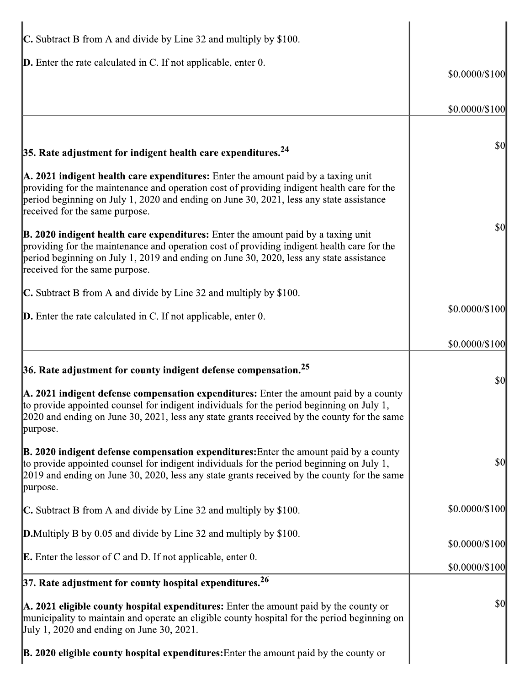| <b>C.</b> Subtract B from A and divide by Line 32 and multiply by \$100.                                                                                                                                                                                                                                                          |                |
|-----------------------------------------------------------------------------------------------------------------------------------------------------------------------------------------------------------------------------------------------------------------------------------------------------------------------------------|----------------|
| $\mathbf{D}$ . Enter the rate calculated in C. If not applicable, enter 0.                                                                                                                                                                                                                                                        | \$0.0000/\$100 |
|                                                                                                                                                                                                                                                                                                                                   | \$0.0000/\$100 |
| 35. Rate adjustment for indigent health care expenditures. $^{24}$                                                                                                                                                                                                                                                                | \$0            |
| $\mathbf{A}$ . 2021 indigent health care expenditures: Enter the amount paid by a taxing unit<br>providing for the maintenance and operation cost of providing indigent health care for the<br>period beginning on July 1, 2020 and ending on June 30, 2021, less any state assistance<br>received for the same purpose.          |                |
| $\mathbf{\mathbb{B}}$ . 2020 indigent health care expenditures: Enter the amount paid by a taxing unit<br>providing for the maintenance and operation cost of providing indigent health care for the<br>period beginning on July 1, 2019 and ending on June 30, 2020, less any state assistance<br>received for the same purpose. | \$0            |
| $\mathbb C$ . Subtract B from A and divide by Line 32 and multiply by \$100.                                                                                                                                                                                                                                                      |                |
| $\mathbf D$ . Enter the rate calculated in C. If not applicable, enter 0.                                                                                                                                                                                                                                                         | \$0.0000/\$100 |
|                                                                                                                                                                                                                                                                                                                                   | \$0.0000/\$100 |
| <b>36.</b> Rate adjustment for county indigent defense compensation. $25$                                                                                                                                                                                                                                                         | \$0            |
| $\mathbf{A}$ . 2021 indigent defense compensation expenditures: Enter the amount paid by a county<br>to provide appointed counsel for indigent individuals for the period beginning on July 1.<br>$[2020$ and ending on June 30, 2021, less any state grants received by the county for the same<br>purpose.                      |                |
| $\mathbf{\mathbb{B}}$ . 2020 indigent defense compensation expenditures: Enter the amount paid by a county<br>to provide appointed counsel for indigent individuals for the period beginning on July 1,<br>2019 and ending on June 30, 2020, less any state grants received by the county for the same<br>purpose.                | \$0            |
| $\mathbb C$ . Subtract B from A and divide by Line 32 and multiply by \$100.                                                                                                                                                                                                                                                      | \$0.0000/\$100 |
| <b>D.</b> Multiply B by 0.05 and divide by Line 32 and multiply by \$100.                                                                                                                                                                                                                                                         | \$0.0000/\$100 |
| <b>E.</b> Enter the lessor of C and D. If not applicable, enter 0.                                                                                                                                                                                                                                                                | \$0.0000/\$100 |
| 37. Rate adjustment for county hospital expenditures. $26$                                                                                                                                                                                                                                                                        |                |
| A. 2021 eligible county hospital expenditures: Enter the amount paid by the county or<br>municipality to maintain and operate an eligible county hospital for the period beginning on<br>$\text{July } 1, 2020 \text{ and ending on June } 30, 2021.$                                                                             | \$0            |
| $\mathbf{B}$ . 2020 eligible county hospital expenditures: Enter the amount paid by the county or                                                                                                                                                                                                                                 |                |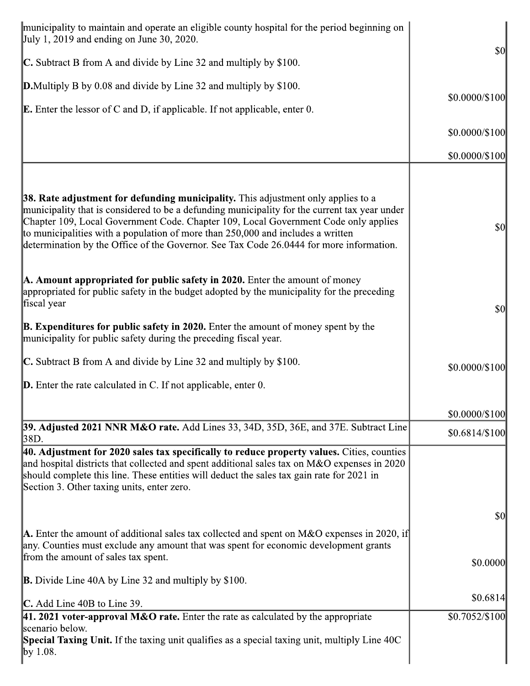| municipality to maintain and operate an eligible county hospital for the period beginning on<br>July 1, 2019 and ending on June 30, 2020.                                                                                                                                                                                                                                                                                                               | \$0                  |
|---------------------------------------------------------------------------------------------------------------------------------------------------------------------------------------------------------------------------------------------------------------------------------------------------------------------------------------------------------------------------------------------------------------------------------------------------------|----------------------|
| <b>C.</b> Subtract B from A and divide by Line 32 and multiply by \$100.                                                                                                                                                                                                                                                                                                                                                                                |                      |
| <b>D.</b> Multiply B by 0.08 and divide by Line 32 and multiply by \$100.                                                                                                                                                                                                                                                                                                                                                                               |                      |
| <b>E.</b> Enter the lessor of C and D, if applicable. If not applicable, enter 0.                                                                                                                                                                                                                                                                                                                                                                       | $$0.0000 \times 100$ |
|                                                                                                                                                                                                                                                                                                                                                                                                                                                         | $$0.0000 \times 100$ |
|                                                                                                                                                                                                                                                                                                                                                                                                                                                         | $$0.0000 \times 100$ |
|                                                                                                                                                                                                                                                                                                                                                                                                                                                         |                      |
| 38. Rate adjustment for defunding municipality. This adjustment only applies to a<br>municipality that is considered to be a defunding municipality for the current tax year under<br>Chapter 109, Local Government Code. Chapter 109, Local Government Code only applies<br>to municipalities with a population of more than 250,000 and includes a written<br>determination by the Office of the Governor. See Tax Code 26.0444 for more information. | \$0                  |
| A. Amount appropriated for public safety in 2020. Enter the amount of money<br>appropriated for public safety in the budget adopted by the municipality for the preceding<br>fiscal year                                                                                                                                                                                                                                                                | \$0                  |
| <b>B. Expenditures for public safety in 2020.</b> Enter the amount of money spent by the<br>municipality for public safety during the preceding fiscal year.                                                                                                                                                                                                                                                                                            |                      |
| $\mathbb C$ . Subtract B from A and divide by Line 32 and multiply by \$100.                                                                                                                                                                                                                                                                                                                                                                            | \$0.0000/\$100       |
| $\mathbf D$ . Enter the rate calculated in C. If not applicable, enter 0.                                                                                                                                                                                                                                                                                                                                                                               |                      |
|                                                                                                                                                                                                                                                                                                                                                                                                                                                         | \$0.0000/\$100       |
| 39. Adjusted 2021 NNR M&O rate. Add Lines 33, 34D, 35D, 36E, and 37E. Subtract Line<br>38D.                                                                                                                                                                                                                                                                                                                                                             | $$0.6814/\$100$      |
| 40. Adjustment for 2020 sales tax specifically to reduce property values. Cities, counties<br>and hospital districts that collected and spent additional sales tax on M&O expenses in 2020<br>should complete this line. These entities will deduct the sales tax gain rate for 2021 in<br>Section 3. Other taxing units, enter zero.                                                                                                                   |                      |
|                                                                                                                                                                                                                                                                                                                                                                                                                                                         | \$0                  |
| <b>A.</b> Enter the amount of additional sales tax collected and spent on M&O expenses in 2020, if<br>any. Counties must exclude any amount that was spent for economic development grants<br>from the amount of sales tax spent.                                                                                                                                                                                                                       | \$0.0000             |
| <b>B.</b> Divide Line 40A by Line 32 and multiply by $$100$ .                                                                                                                                                                                                                                                                                                                                                                                           |                      |
| $\mathbb{C}$ . Add Line 40B to Line 39.                                                                                                                                                                                                                                                                                                                                                                                                                 | \$0.6814             |
| 41. 2021 voter-approval M&O rate. Enter the rate as calculated by the appropriate                                                                                                                                                                                                                                                                                                                                                                       | \$0.7052/\$100       |
| scenario below.<br>Special Taxing Unit. If the taxing unit qualifies as a special taxing unit, multiply Line 40C<br>$\gamma$ 1.08.                                                                                                                                                                                                                                                                                                                      |                      |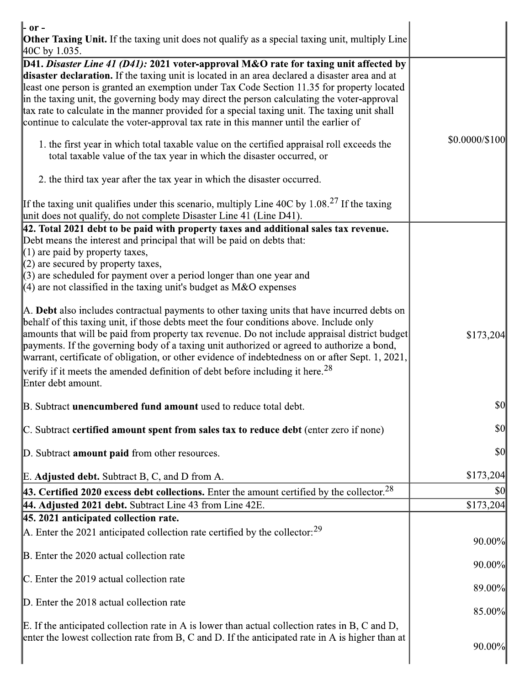| $\mathbf{r}$ or -<br><b>Other Taxing Unit.</b> If the taxing unit does not qualify as a special taxing unit, multiply Line<br>$ 40C$ by 1.035.                                                                                                                                                                                                                                                                                                                                                                                                                                 |                |
|--------------------------------------------------------------------------------------------------------------------------------------------------------------------------------------------------------------------------------------------------------------------------------------------------------------------------------------------------------------------------------------------------------------------------------------------------------------------------------------------------------------------------------------------------------------------------------|----------------|
| D41. Disaster Line 41 (D41): 2021 voter-approval M&O rate for taxing unit affected by<br>disaster declaration. If the taxing unit is located in an area declared a disaster area and at<br>least one person is granted an exemption under Tax Code Section 11.35 for property located<br>in the taxing unit, the governing body may direct the person calculating the voter-approval<br>tax rate to calculate in the manner provided for a special taxing unit. The taxing unit shall<br>continue to calculate the voter-approval tax rate in this manner until the earlier of |                |
| 1. the first year in which total taxable value on the certified appraisal roll exceeds the<br>total taxable value of the tax year in which the disaster occurred, or                                                                                                                                                                                                                                                                                                                                                                                                           | \$0.0000/\$100 |
| 2. the third tax year after the tax year in which the disaster occurred.                                                                                                                                                                                                                                                                                                                                                                                                                                                                                                       |                |
| If the taxing unit qualifies under this scenario, multiply Line 40C by 1.08. <sup>27</sup> If the taxing<br>unit does not qualify, do not complete Disaster Line 41 (Line D41).                                                                                                                                                                                                                                                                                                                                                                                                |                |
| $ 42.$ Total 2021 debt to be paid with property taxes and additional sales tax revenue.<br>Debt means the interest and principal that will be paid on debts that:<br>$(1)$ are paid by property taxes,                                                                                                                                                                                                                                                                                                                                                                         |                |
| $(2)$ are secured by property taxes,<br>$\parallel$ (3) are scheduled for payment over a period longer than one year and<br>(4) are not classified in the taxing unit's budget as $M&O$ expenses                                                                                                                                                                                                                                                                                                                                                                               |                |
| A. Debt also includes contractual payments to other taxing units that have incurred debts on<br>behalf of this taxing unit, if those debts meet the four conditions above. Include only<br>amounts that will be paid from property tax revenue. Do not include appraisal district budget<br>payments. If the governing body of a taxing unit authorized or agreed to authorize a bond,<br>warrant, certificate of obligation, or other evidence of indebtedness on or after Sept. 1, 2021,                                                                                     | \$173,204      |
| verify if it meets the amended definition of debt before including it here. <sup>28</sup><br>Enter debt amount.                                                                                                                                                                                                                                                                                                                                                                                                                                                                |                |
| B. Subtract <b>unencumbered fund amount</b> used to reduce total debt.                                                                                                                                                                                                                                                                                                                                                                                                                                                                                                         | \$0            |
| C. Subtract certified amount spent from sales tax to reduce debt (enter zero if none)                                                                                                                                                                                                                                                                                                                                                                                                                                                                                          | $\frac{1}{2}$  |
| D. Subtract <b>amount paid</b> from other resources.                                                                                                                                                                                                                                                                                                                                                                                                                                                                                                                           | \$0            |
| E. Adjusted debt. Subtract B, C, and D from A.                                                                                                                                                                                                                                                                                                                                                                                                                                                                                                                                 | \$173,204      |
| <b>43. Certified 2020 excess debt collections.</b> Enter the amount certified by the collector. <sup>28</sup>                                                                                                                                                                                                                                                                                                                                                                                                                                                                  | \$0            |
| 44. Adjusted 2021 debt. Subtract Line 43 from Line 42E.                                                                                                                                                                                                                                                                                                                                                                                                                                                                                                                        | \$173,204      |
| 45. 2021 anticipated collection rate.                                                                                                                                                                                                                                                                                                                                                                                                                                                                                                                                          |                |
| A. Enter the 2021 anticipated collection rate certified by the collector: $^{29}$                                                                                                                                                                                                                                                                                                                                                                                                                                                                                              | 90.00%         |
| B. Enter the 2020 actual collection rate                                                                                                                                                                                                                                                                                                                                                                                                                                                                                                                                       | 90.00%         |
| $\mathbb{C}$ . Enter the 2019 actual collection rate                                                                                                                                                                                                                                                                                                                                                                                                                                                                                                                           | 89.00%         |
| D. Enter the 2018 actual collection rate                                                                                                                                                                                                                                                                                                                                                                                                                                                                                                                                       | 85.00%         |
| E. If the anticipated collection rate in A is lower than actual collection rates in B, C and D,<br>enter the lowest collection rate from B, C and D. If the anticipated rate in A is higher than at                                                                                                                                                                                                                                                                                                                                                                            | 90.00%         |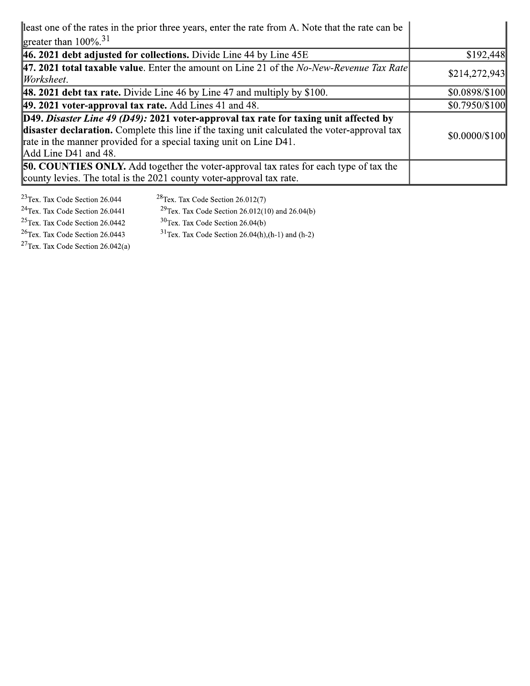| least one of the rates in the prior three years, enter the rate from A. Note that the rate can be                                                                                                                                                                                    |                      |
|--------------------------------------------------------------------------------------------------------------------------------------------------------------------------------------------------------------------------------------------------------------------------------------|----------------------|
| greater than $100\%$ <sup>31</sup>                                                                                                                                                                                                                                                   |                      |
| $ 46.2021$ debt adjusted for collections. Divide Line 44 by Line 45E                                                                                                                                                                                                                 | \$192,448            |
| <b>47. 2021 total taxable value.</b> Enter the amount on Line 21 of the <i>No-New-Revenue Tax Rate</i><br>Worksheet.                                                                                                                                                                 | \$214,272,943        |
| <b>48. 2021 debt tax rate.</b> Divide Line 46 by Line 47 and multiply by $$100$ .                                                                                                                                                                                                    | \$0.0898/\$100       |
| 49. 2021 voter-approval tax rate. Add Lines 41 and 48.                                                                                                                                                                                                                               | $$0.7950/\$100$      |
| D49. Disaster Line 49 (D49): 2021 voter-approval tax rate for taxing unit affected by<br>disaster declaration. Complete this line if the taxing unit calculated the voter-approval tax<br>rate in the manner provided for a special taxing unit on Line D41.<br>Add Line D41 and 48. | $$0.0000 \times 100$ |
| <b>50. COUNTIES ONLY.</b> Add together the voter-approval tax rates for each type of tax the<br>county levies. The total is the 2021 county voter-approval tax rate.                                                                                                                 |                      |

 $23$ Tex. Tax Code Section 26.044  $28$ Tex. Tax Code Section 26.012(7)  $24$ Tex. Tax Code Section 26.0441 <sup>29</sup>Tex. Tax Code Section 26.012(10) and 26.04(b)  $25$ Tex. Tax Code Section 26.0442  $30$ Tex. Tax Code Section 26.04(b) <sup>26</sup>Tex. Tax Code Section 26.0443 <sup>31</sup>Tex. Tax Code Section 26.04(h),(h-1) and (h-2) <sup>27</sup>Tex. Tax Code Section  $26.042(a)$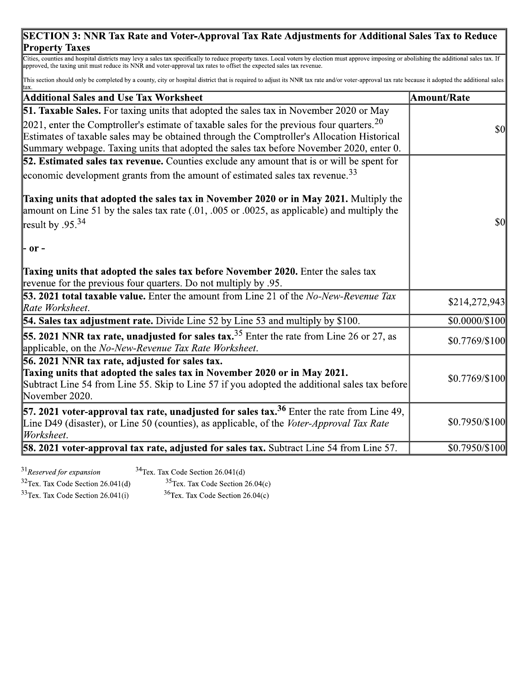#### SECTION 3: NNR Tax Rate and Voter-Approval Tax Rate Adjustments for Additional Sales Tax to Reduce **Property Taxes**

Cities, counties and hospital districts may levy a sales tax specifically to reduce property taxes. Local voters by election must approve imposing or abolishing the additional sales tax. If approved, the taxing unit must r

This section should only be completed by a county, city or hospital district that is required to adjust its NNR tax rate and/or voter-approval tax rate because it adopted the additional sales

| <b>Additional Sales and Use Tax Worksheet</b>                                                                                                                                                                            | Amount/Rate          |
|--------------------------------------------------------------------------------------------------------------------------------------------------------------------------------------------------------------------------|----------------------|
| <b>51. Taxable Sales.</b> For taxing units that adopted the sales tax in November 2020 or May                                                                                                                            |                      |
| 2021, enter the Comptroller's estimate of taxable sales for the previous four quarters. <sup>20</sup>                                                                                                                    | $\frac{1}{2}$        |
| Estimates of taxable sales may be obtained through the Comptroller's Allocation Historical                                                                                                                               |                      |
| Summary webpage. Taxing units that adopted the sales tax before November 2020, enter 0.                                                                                                                                  |                      |
| 52. Estimated sales tax revenue. Counties exclude any amount that is or will be spent for                                                                                                                                |                      |
| economic development grants from the amount of estimated sales tax revenue. <sup>33</sup>                                                                                                                                |                      |
| Taxing units that adopted the sales tax in November 2020 or in May 2021. Multiply the<br>amount on Line 51 by the sales tax rate $(.01, .005)$ or $.0025$ , as applicable) and multiply the<br>result by $.95^{34}$      | <b>\$0</b>           |
| - or -                                                                                                                                                                                                                   |                      |
| <b>Taxing units that adopted the sales tax before November 2020.</b> Enter the sales tax<br>revenue for the previous four quarters. Do not multiply by .95.                                                              |                      |
| <b>53. 2021 total taxable value.</b> Enter the amount from Line 21 of the <i>No-New-Revenue Tax</i><br>Rate Worksheet.                                                                                                   | \$214,272,943        |
| <b>54. Sales tax adjustment rate.</b> Divide Line 52 by Line 53 and multiply by \$100.                                                                                                                                   | $$0.0000 \times 100$ |
| <b>55. 2021 NNR tax rate, unadjusted for sales tax.</b> $35$ Enter the rate from Line 26 or 27, as<br>applicable, on the No-New-Revenue Tax Rate Worksheet.                                                              | \$0.7769/\$100       |
| 56. 2021 NNR tax rate, adjusted for sales tax.                                                                                                                                                                           |                      |
| Taxing units that adopted the sales tax in November 2020 or in May 2021.                                                                                                                                                 | \$0.7769/\$100       |
| Subtract Line 54 from Line 55. Skip to Line 57 if you adopted the additional sales tax before                                                                                                                            |                      |
| November 2020.                                                                                                                                                                                                           |                      |
| <b>57. 2021 voter-approval tax rate, unadjusted for sales tax.</b> <sup>36</sup> Enter the rate from Line 49,<br>Line D49 (disaster), or Line 50 (counties), as applicable, of the Voter-Approval Tax Rate<br>Worksheet. | \$0.7950/\$100       |
| <b>58. 2021 voter-approval tax rate, adjusted for sales tax.</b> Subtract Line 54 from Line 57.                                                                                                                          | \$0.7950/\$100       |

 $31$ Reserved for expansion

 $34$ Tex. Tax Code Section 26.041(d)

 $32$ Tex. Tax Code Section 26.041(d)  $33$ Tex. Tax Code Section 26.041(i)

 $35$ Tex. Tax Code Section 26.04(c)  $36$ Tex. Tax Code Section 26.04(c)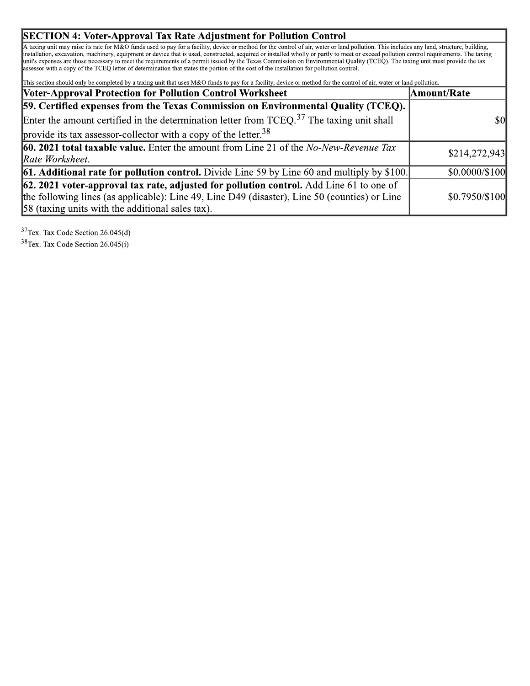#### **SECTION 4: Voter-Approval Tax Rate Adjustment for Pollution Control**

A taxing unit may raise its rate for M&O funds used to pay for a facility, device or method for the control of air, water or land pollution. This includes any land, structure, building, installation, excavation, machinery, assessor with a copy of the TCEQ letter of determination that states the portion of the cost of the installation for pollution control.

This section should only be completed by a taxing unit that uses M&O funds to pay for a facility, device or method for the control of air, water or land pollution.

| <b>Voter-Approval Protection for Pollution Control Worksheet</b>                                         | Amount/Rate          |
|----------------------------------------------------------------------------------------------------------|----------------------|
| 59. Certified expenses from the Texas Commission on Environmental Quality (TCEQ).                        |                      |
| Enter the amount certified in the determination letter from $TCEQ$ . <sup>37</sup> The taxing unit shall | \$0l                 |
| provide its tax assessor-collector with a copy of the letter. $38$                                       |                      |
| <b>60. 2021 total taxable value.</b> Enter the amount from Line 21 of the No-New-Revenue Tax             | \$214,272,943        |
| Rate Worksheet.                                                                                          |                      |
| <b>61. Additional rate for pollution control.</b> Divide Line 59 by Line 60 and multiply by \$100.       | $$0.0000 \times 100$ |
| $\left  62.2021 \right $ voter-approval tax rate, adjusted for pollution control. Add Line 61 to one of  |                      |
| the following lines (as applicable): Line 49, Line D49 (disaster), Line 50 (counties) or Line            | \$0.7950/\$100       |
| 58 (taxing units with the additional sales tax).                                                         |                      |

 $37$ Tex. Tax Code Section 26.045(d)

 $38$  Tex. Tax Code Section 26.045(i)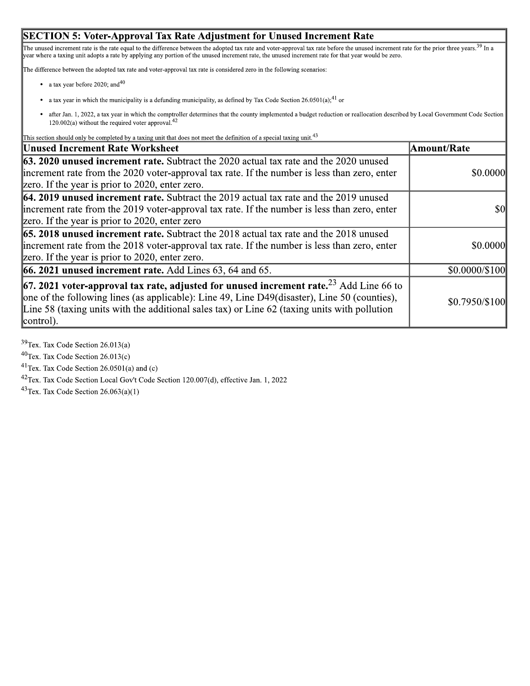#### **SECTION 5: Voter-Approval Tax Rate Adjustment for Unused Increment Rate**

The unused increment rate is the rate equal to the difference between the adopted tax rate and voter-approval tax rate before the unused increment rate for the prior three years.<sup>39</sup> In a year where a taxing unit adopts a

The difference between the adopted tax rate and voter-approval tax rate is considered zero in the following scenarios:

- a tax year before 2020; and  $40$
- a tax year in which the municipality is a defunding municipality, as defined by Tax Code Section  $26.0501(a)$ ;<sup>41</sup> or
- after Jan. 1, 2022, a tax year in which the comptroller determines that the county implemented a budget reduction or reallocation described by Local Government Code Section  $\bullet$  $120.002(a)$  without the required voter approval.<sup>42</sup>

This section should only be completed by a taxing unit that does not meet the definition of a special taxing unit.<sup>43</sup>

| <b>Unused Increment Rate Worksheet</b>                                                                                                                                                                                                                                                                                   | Amount/Rate    |
|--------------------------------------------------------------------------------------------------------------------------------------------------------------------------------------------------------------------------------------------------------------------------------------------------------------------------|----------------|
| <b>63. 2020 unused increment rate.</b> Subtract the 2020 actual tax rate and the 2020 unused<br>increment rate from the 2020 voter-approval tax rate. If the number is less than zero, enter<br>zero. If the year is prior to 2020, enter zero.                                                                          | \$0.0000       |
| <b>64. 2019 unused increment rate.</b> Subtract the 2019 actual tax rate and the 2019 unused<br>increment rate from the 2019 voter-approval tax rate. If the number is less than zero, enter<br>zero. If the year is prior to 2020, enter zero                                                                           | \$0            |
| <b>65. 2018 unused increment rate.</b> Subtract the 2018 actual tax rate and the 2018 unused<br>increment rate from the 2018 voter-approval tax rate. If the number is less than zero, enter<br>zero. If the year is prior to 2020, enter zero.                                                                          | \$0.0000       |
| <b>66. 2021 unused increment rate.</b> Add Lines $63$ , $64$ and $65$ .                                                                                                                                                                                                                                                  | \$0.0000/\$100 |
| <b>67. 2021 voter-approval tax rate, adjusted for unused increment rate.</b> <sup>23</sup> Add Line 66 to<br>one of the following lines (as applicable): Line 49, Line D49(disaster), Line 50 (counties),<br>Line 58 (taxing units with the additional sales tax) or Line $62$ (taxing units with pollution<br>control). | \$0.7950/\$100 |

 $39$ Tex. Tax Code Section 26.013(a)

 $40$ Tex. Tax Code Section 26.013(c)

<sup>41</sup>Tex. Tax Code Section 26.0501(a) and (c)

<sup>42</sup>Tex. Tax Code Section Local Gov't Code Section 120.007(d), effective Jan. 1, 2022

<sup>43</sup>Tex. Tax Code Section  $26.063(a)(1)$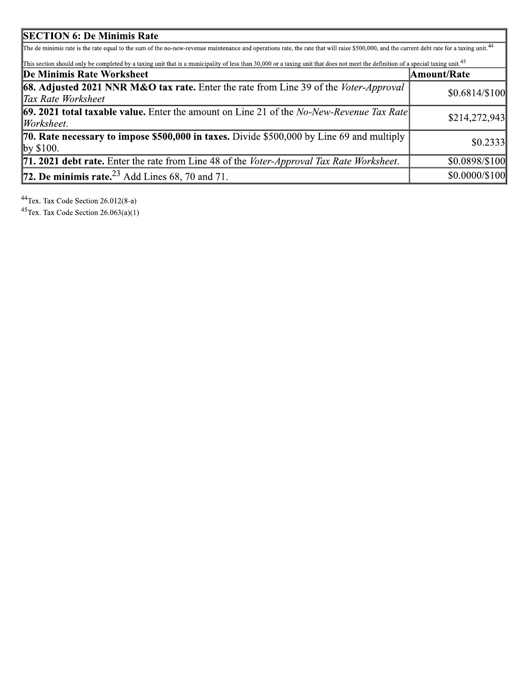| <b>SECTION 6: De Minimis Rate</b>                                                                                                                                                                      |                      |  |
|--------------------------------------------------------------------------------------------------------------------------------------------------------------------------------------------------------|----------------------|--|
| The de minimis rate is the rate equal to the sum of the no-new-revenue maintenance and operations rate, the rate that will raise \$500,000, and the current debt rate for a taxing unit. <sup>44</sup> |                      |  |
| This section should only be completed by a taxing unit that is a municipality of less than 30,000 or a taxing unit that does not meet the definition of a special taxing unit. <sup>45</sup>           |                      |  |
| De Minimis Rate Worksheet                                                                                                                                                                              | Amount/Rate          |  |
| <b>68. Adjusted 2021 NNR M&amp;O tax rate.</b> Enter the rate from Line 39 of the Voter-Approval                                                                                                       | $$0.6814/\$100$      |  |
| Tax Rate Worksheet                                                                                                                                                                                     |                      |  |
| <b>69. 2021 total taxable value.</b> Enter the amount on Line 21 of the No-New-Revenue Tax Rate                                                                                                        | \$214,272,943        |  |
| Worksheet.                                                                                                                                                                                             |                      |  |
| <b>70. Rate necessary to impose \$500,000 in taxes.</b> Divide \$500,000 by Line 69 and multiply                                                                                                       | \$0.2333             |  |
| by \$100.                                                                                                                                                                                              |                      |  |
| <b>71. 2021 debt rate.</b> Enter the rate from Line 48 of the <i>Voter-Approval Tax Rate Worksheet</i> .                                                                                               | \$0.0898/\$100       |  |
| <b>72. De minimis rate.</b> $^{23}$ Add Lines 68, 70 and 71.                                                                                                                                           | $$0.0000 \times 100$ |  |

<sup>44</sup>Tex. Tax Code Section  $26.012(8-a)$ <br><sup>45</sup>Tex. Tax Code Section  $26.063(a)(1)$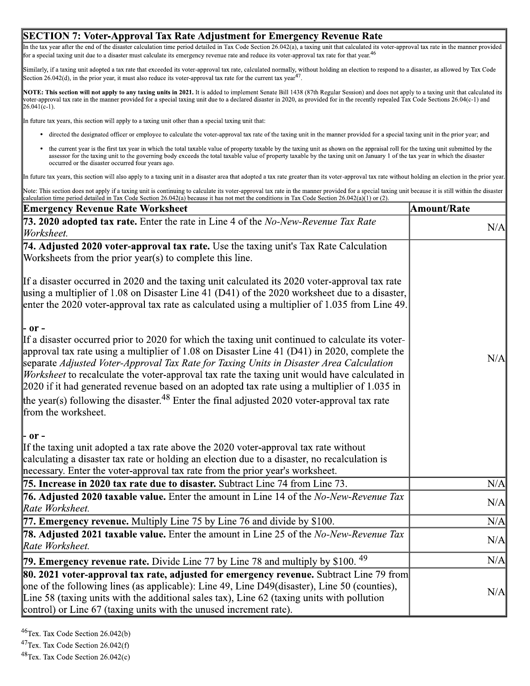#### SECTION 7: Voter-Approval Tax Rate Adjustment for Emergency Revenue Rate

In the tax year after the end of the disaster calculation time period detailed in Tax Code Section 26.042(a), a taxing unit that calculated its voter-approval tax rate in the manner provided<br>for a special taxing unit due t

Similarly, if a taxing unit adopted a tax rate that exceeded its voter-approval tax rate, calculated normally, without holding an election to respond to a disaster, as allowed by Tax Code<br>Section 26.042(d), in the prior ye

Voter-approval tax rate in the manner provided for a special taxing unit due to a declared disaster in 2020, as provided for in the recently repealed Tax Code Sections 26.04(c-1) and 26.041(c-1). NOTE: This section will not apply to any taxing units in 2021. It is added to implement Senate Bill 1438 (87th Regular Session) and does not apply to a taxing unit that calculated its

In future tax years, this section will apply to a taxing unit other than a special taxing unit that:

- directed the designated officer or employee to calculate the voter-approval tax rate of the taxing unit in the manner provided for a special taxing unit in the prior year; and
- the current year is the first tax year in which the total taxable value of property taxable by the taxing unit as shown on the appraisal roll for the taxing unit submitted by the assessor for the taxing unit to the governing body exceeds the total taxable value of property taxable by the taxing unit on January 1 of the tax year in which the disaster occurred or the disaster occurred four years ago.

In future tax years, this section will also apply to a taxing unit in a disaster area that adopted a tax rate greater than its voter-approval tax rate without holding an election in the prior year.

Note: This section does not apply if a taxing unit is continuing to calculate its voter-approval tax rate in the manner provided for a special taxing unit because it is still within the disaster calculation time period det

| <b>Emergency Revenue Rate Worksheet</b>                                                                                                                                                                                                                                                                                                                                                                                                                                                                                                                                                                                                         | Amount/Rate |
|-------------------------------------------------------------------------------------------------------------------------------------------------------------------------------------------------------------------------------------------------------------------------------------------------------------------------------------------------------------------------------------------------------------------------------------------------------------------------------------------------------------------------------------------------------------------------------------------------------------------------------------------------|-------------|
| 73. 2020 adopted tax rate. Enter the rate in Line 4 of the No-New-Revenue Tax Rate<br>Worksheet.                                                                                                                                                                                                                                                                                                                                                                                                                                                                                                                                                | N/A         |
| 74. Adjusted 2020 voter-approval tax rate. Use the taxing unit's Tax Rate Calculation<br>Worksheets from the prior year(s) to complete this line.                                                                                                                                                                                                                                                                                                                                                                                                                                                                                               |             |
| If a disaster occurred in 2020 and the taxing unit calculated its 2020 voter-approval tax rate<br>using a multiplier of 1.08 on Disaster Line 41 (D41) of the 2020 worksheet due to a disaster,<br>enter the 2020 voter-approval tax rate as calculated using a multiplier of 1.035 from Line 49.                                                                                                                                                                                                                                                                                                                                               |             |
| - or -<br>If a disaster occurred prior to 2020 for which the taxing unit continued to calculate its voter-<br>approval tax rate using a multiplier of 1.08 on Disaster Line 41 (D41) in 2020, complete the<br>separate Adjusted Voter-Approval Tax Rate for Taxing Units in Disaster Area Calculation<br><i>Worksheet</i> to recalculate the voter-approval tax rate the taxing unit would have calculated in<br>2020 if it had generated revenue based on an adopted tax rate using a multiplier of 1.035 in<br>the year(s) following the disaster. <sup>48</sup> Enter the final adjusted 2020 voter-approval tax rate<br>from the worksheet. | N/A         |
| - or -<br>If the taxing unit adopted a tax rate above the 2020 voter-approval tax rate without<br>calculating a disaster tax rate or holding an election due to a disaster, no recalculation is<br>necessary. Enter the voter-approval tax rate from the prior year's worksheet.                                                                                                                                                                                                                                                                                                                                                                |             |
| 75. Increase in 2020 tax rate due to disaster. Subtract Line 74 from Line 73.                                                                                                                                                                                                                                                                                                                                                                                                                                                                                                                                                                   | N/A         |
| <b>76. Adjusted 2020 taxable value.</b> Enter the amount in Line 14 of the <i>No-New-Revenue Tax</i><br>Rate Worksheet.                                                                                                                                                                                                                                                                                                                                                                                                                                                                                                                         | N/A         |
| 77. Emergency revenue. Multiply Line 75 by Line 76 and divide by \$100.                                                                                                                                                                                                                                                                                                                                                                                                                                                                                                                                                                         | N/A         |
| 78. Adjusted 2021 taxable value. Enter the amount in Line 25 of the No-New-Revenue Tax<br>Rate Worksheet.                                                                                                                                                                                                                                                                                                                                                                                                                                                                                                                                       | N/A         |
| 79. Emergency revenue rate. Divide Line 77 by Line 78 and multiply by \$100. <sup>49</sup>                                                                                                                                                                                                                                                                                                                                                                                                                                                                                                                                                      | N/A         |
| <b>80. 2021 voter-approval tax rate, adjusted for emergency revenue.</b> Subtract Line 79 from<br>one of the following lines (as applicable): Line 49, Line D49(disaster), Line 50 (counties),<br>Line 58 (taxing units with the additional sales tax), Line $62$ (taxing units with pollution<br>control) or Line 67 (taxing units with the unused increment rate).                                                                                                                                                                                                                                                                            | N/A         |

<sup>&</sup>lt;sup>46</sup>Tex. Tax Code Section 26.042(b)

<sup>&</sup>lt;sup>47</sup>Tex. Tax Code Section 26.042(f)

<sup>&</sup>lt;sup>48</sup>Tex. Tax Code Section 26.042(c)